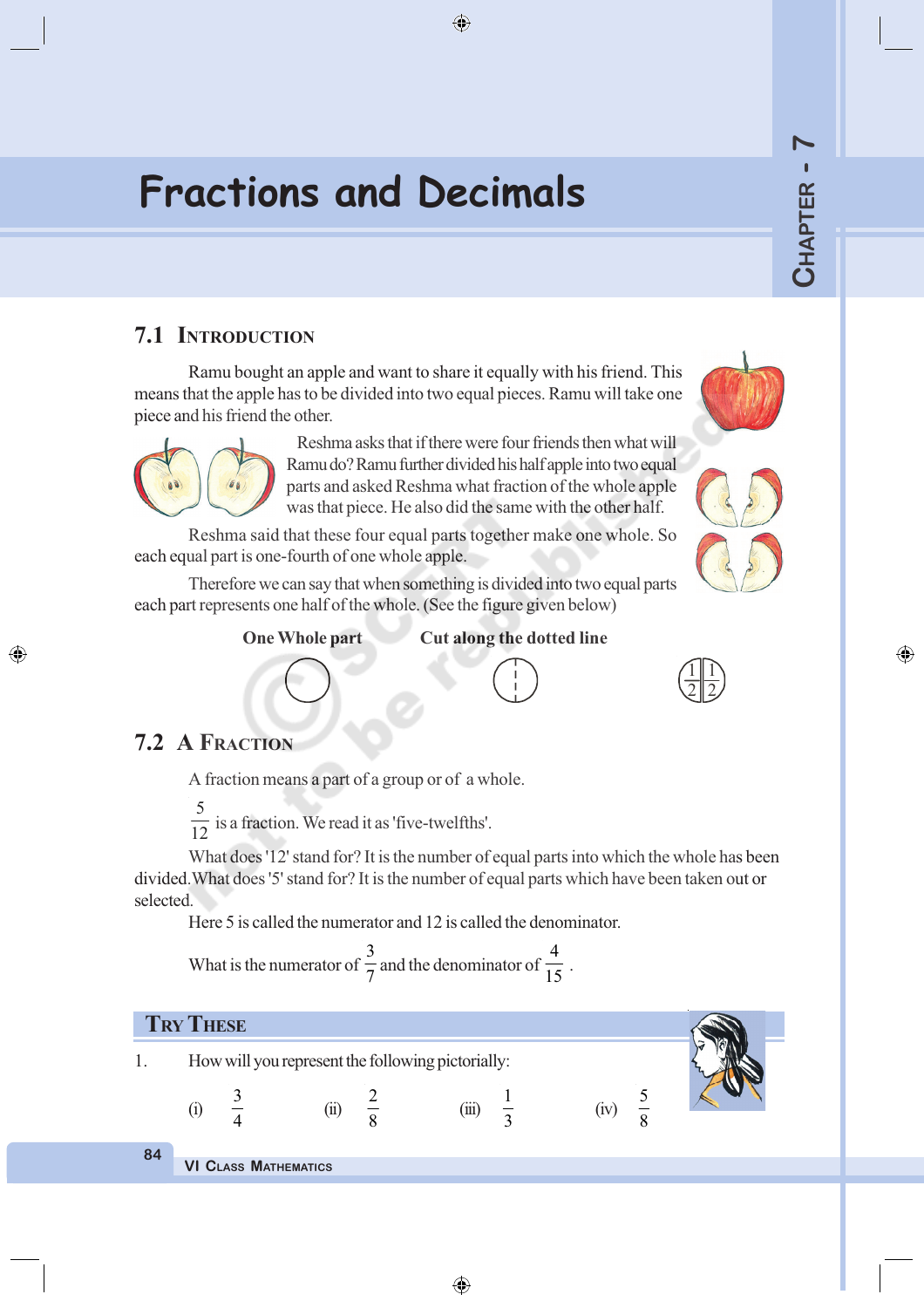◈

# **Fractions and Decimals**

# **7.1 INTRODUCTION**

Ramu bought an apple and want to share it equally with his friend. This means that the apple has to be divided into two equal pieces. Ramu will take one piece and his friend the other.



Reshma asks that if there were four friends then what will Ramu do? Ramu further divided his half apple into two equal parts and asked Reshma what fraction of the whole apple was that piece. He also did the same with the other half.

 $\bigoplus$ 

Reshma said that these four equal parts together make one whole. So each equal part is one-fourth of one whole apple.

Therefore we can say that when something is divided into two equal parts each part represents one half of the whole. (See the figure given below)

**One Whole part Cut along the dotted line**



# **7.2 A FRACTION**

◈

A fraction means a part of a group or of a whole.

5  $\frac{1}{12}$  is a fraction. We read it as 'five-twelfths'.

What does '12' stand for? It is the number of equal parts into which the whole has been divided.What does '5' stand for? It is the number of equal parts which have been taken out or selected.

Here 5 is called the numerator and 12 is called the denominator.

What is the numerator of 3  $\frac{1}{7}$  and the denominator of 4  $\frac{1}{15}$ .



**84**

**VI CLASS MATHEMATICS**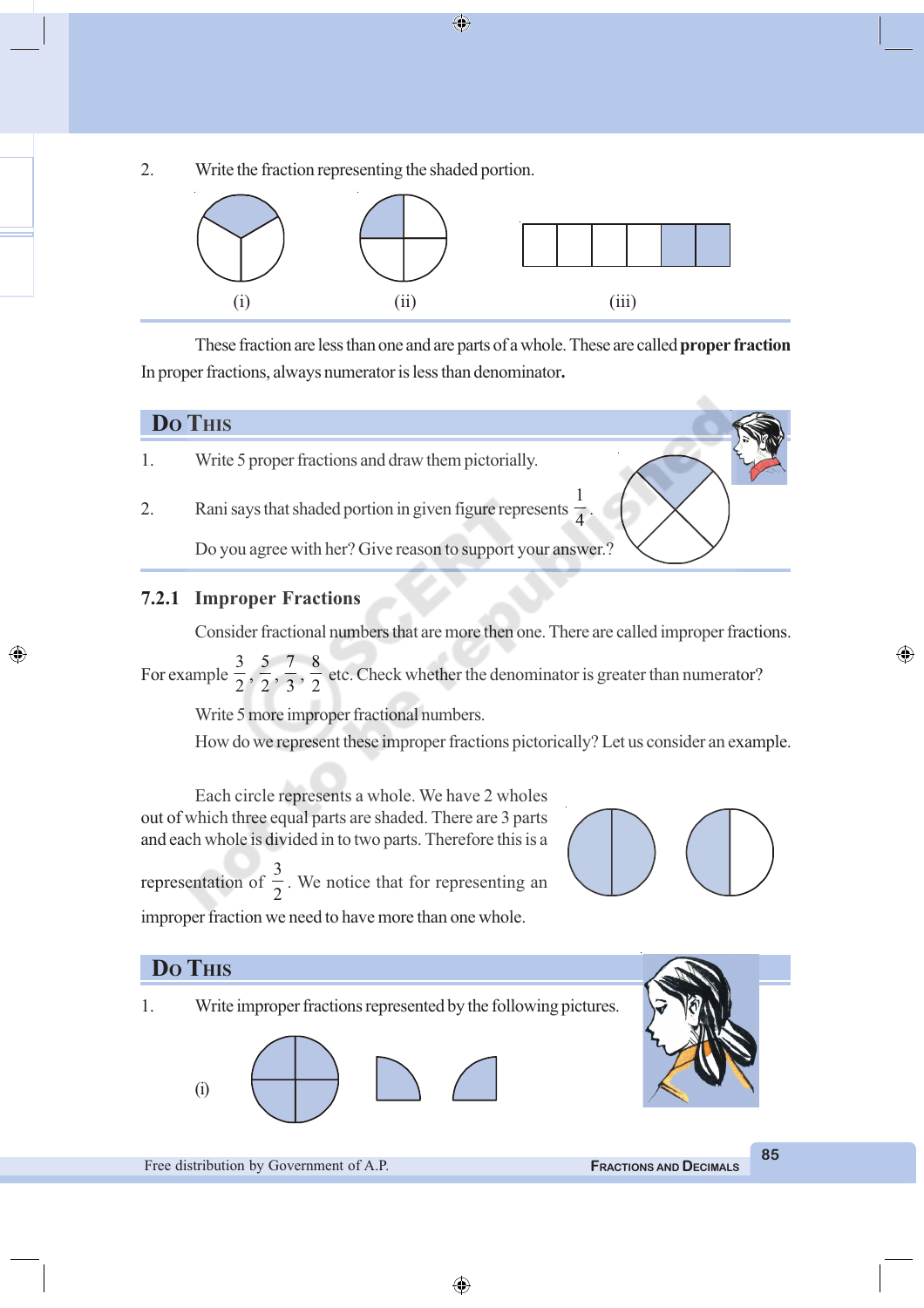2. Write the fraction representing the shaded portion.



These fraction are less than one and are parts of a whole. These are called **proper fraction** In proper fractions, always numerator is less than denominator**.**



◈

- 1. Write 5 proper fractions and draw them pictorially.
- 2. Rani says that shaded portion in given figure represents 1 4

Do you agree with her? Give reason to support your answer.?

#### **7.2.1 Improper Fractions**

Consider fractional numbers that are more then one. There are called improper fractions.

.

For example 3  $\frac{1}{2}$ , 5  $\frac{1}{2}$ , 7  $\frac{1}{3}$ , 8  $\frac{1}{2}$  etc. Check whether the denominator is greater than numerator?

Write 5 more improper fractional numbers.

How do we represent these improper fractions pictorically? Let us consider an example.

Each circle represents a whole. We have 2 wholes out of which three equal parts are shaded. There are 3 parts and each whole is divided in to two parts. Therefore this is a

representation of 3  $\frac{1}{2}$ . We notice that for representing an improper fraction we need to have more than one whole.



◈



⊕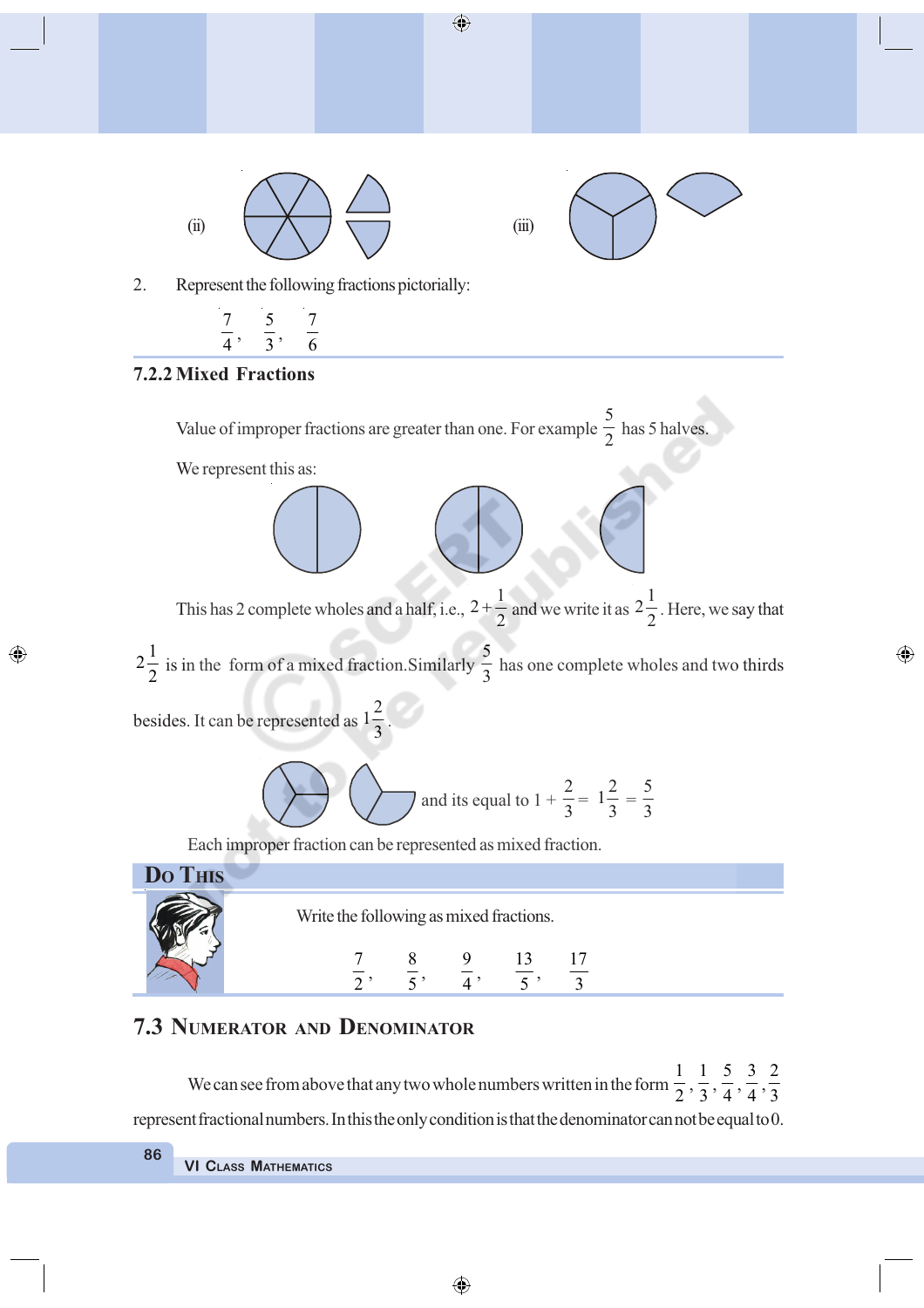

2. Represent the following fractions pictorially:



#### **7.2.2 Mixed Fractions**

◈

Value of improper fractions are greater than one. For example 5  $\frac{1}{2}$  has 5 halves. We represent this as: This has 2 complete wholes and a half, i.e.,  $2 + \frac{1}{2}$  $+\frac{1}{2}$  and we write it as  $2\frac{1}{2}$  $\frac{1}{2}$ . Here, we say that  $2\frac{1}{2}$  $\frac{1}{2}$  is in the form of a mixed fraction. Similarly 5  $\frac{2}{3}$  has one complete wholes and two thirds besides. It can be represented as  $1\frac{2}{2}$  $\frac{1}{3}$ . and its equal to  $1 +$ 2  $\frac{1}{3}$  $1\frac{2}{2}$  $\frac{1}{3}$  = 5 3 Each improper fraction can be represented as mixed fraction. **DO THIS** Write the following as mixed fractions.

⊕

7  $\frac{1}{2}$ , 8  $\frac{1}{5}$ , 9  $\frac{1}{4}$ , 13  $\frac{1}{5}$ , 17 3

#### **7.3 NUMERATOR AND DENOMINATOR**

We can see from above that any two whole numbers written in the form 1  $\frac{1}{2}$ , 1  $\frac{1}{3}$ , 5  $\frac{1}{4}$ , 3  $\frac{1}{4}$ , 2 3 represent fractional numbers. In this the only condition is that the denominator can not be equal to 0.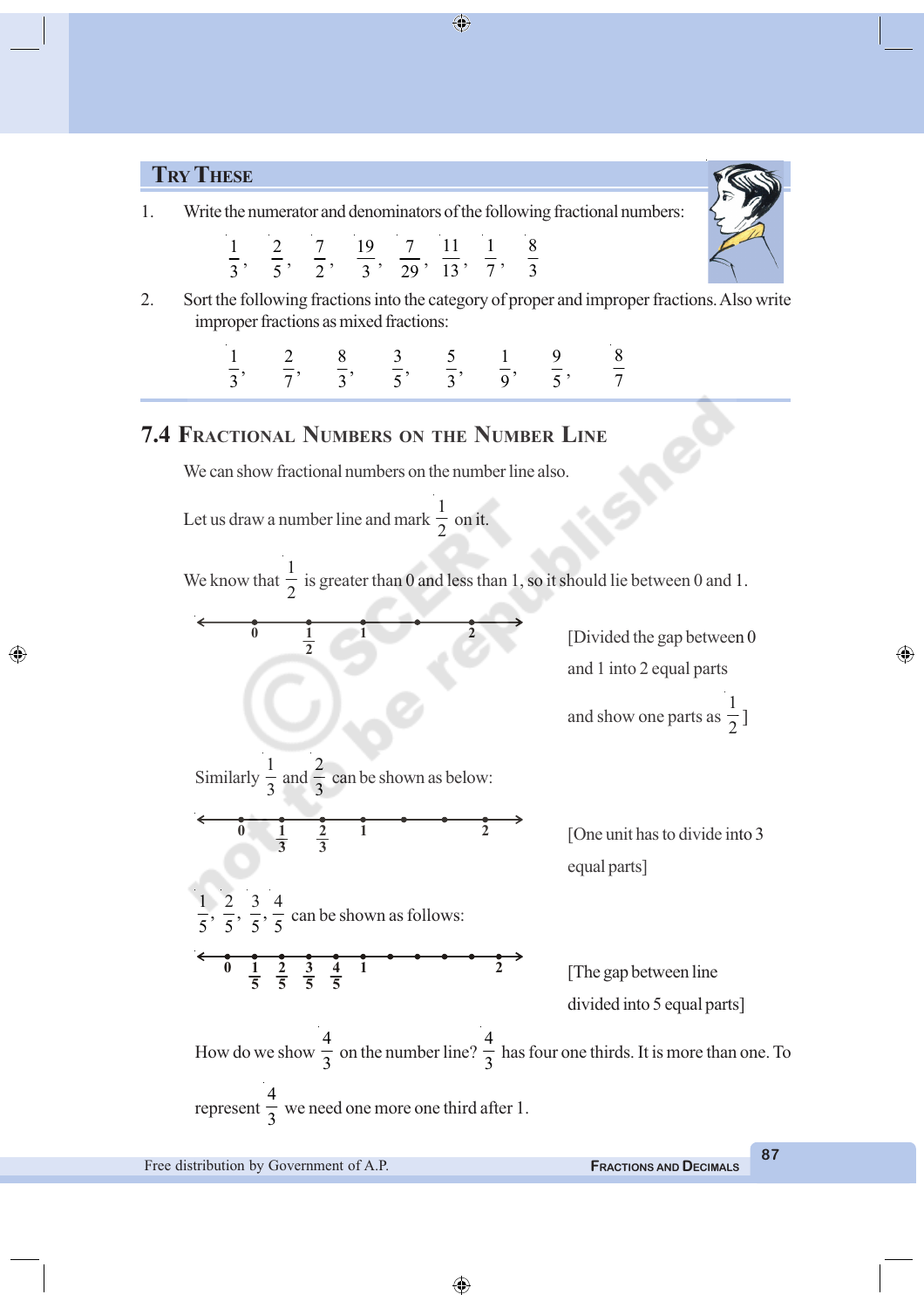#### **TRY THESE**

1. Write the numerator and denominators of the following fractional numbers:

|  | 1 2 7 19 7 11 1 8                      |  |  |
|--|----------------------------------------|--|--|
|  | $3'$ $5'$ $2'$ $3'$ $29'$ $13'$ $7'$ 3 |  |  |

2. Sort the following fractions into the category of proper and improper fractions. Also write improper fractions as mixed fractions:

> $\frac{1}{3}$ ,  $\frac{2}{7}$ ,  $\frac{8}{3}$ ,  $\frac{3}{5}$ ,  $\frac{5}{3}$ ,  $\frac{1}{9}$ ,  $\frac{9}{5}$ 8 7

## **7.4 FRACTIONAL NUMBERS ON THE NUMBER LINE**

We can show fractional numbers on the number line also.

Let us draw a number line and mark 1  $\frac{1}{2}$  on it.

> **1 2**

> > 2

**2 3**

 $\frac{1}{3}$  can be shown as below:

 $\frac{1}{5}$  can be shown as follows:

Similarly

◈

1  $\frac{1}{3}$  and

> **1 3**

4

**2 5** **3 5** **4**

 $\frac{3}{7}$ 5

**1 5**

We know that 1  $\frac{1}{2}$  is greater than 0 and less than 1, so it should lie between 0 and 1.

> **0 1 2** [Divided the gap between 0 and 1 into 2 equal parts and show one parts as 1  $^{-1}_{2}$

 $\frac{1}{2}$  [One unit has to divide into 3 equal parts]

 $\frac{1}{5}$   $\frac{2}{5}$   $\frac{3}{5}$   $\frac{4}{5}$  <sup>1</sup>  $\frac{2}{5}$  [The gap between line divided into 5 equal parts]

How do we show 4  $\frac{1}{3}$  on the number line? 4  $\frac{1}{3}$  has four one thirds. It is more than one. To represent 4  $\frac{1}{3}$  we need one more one third after 1.

⊕

**87**

◈

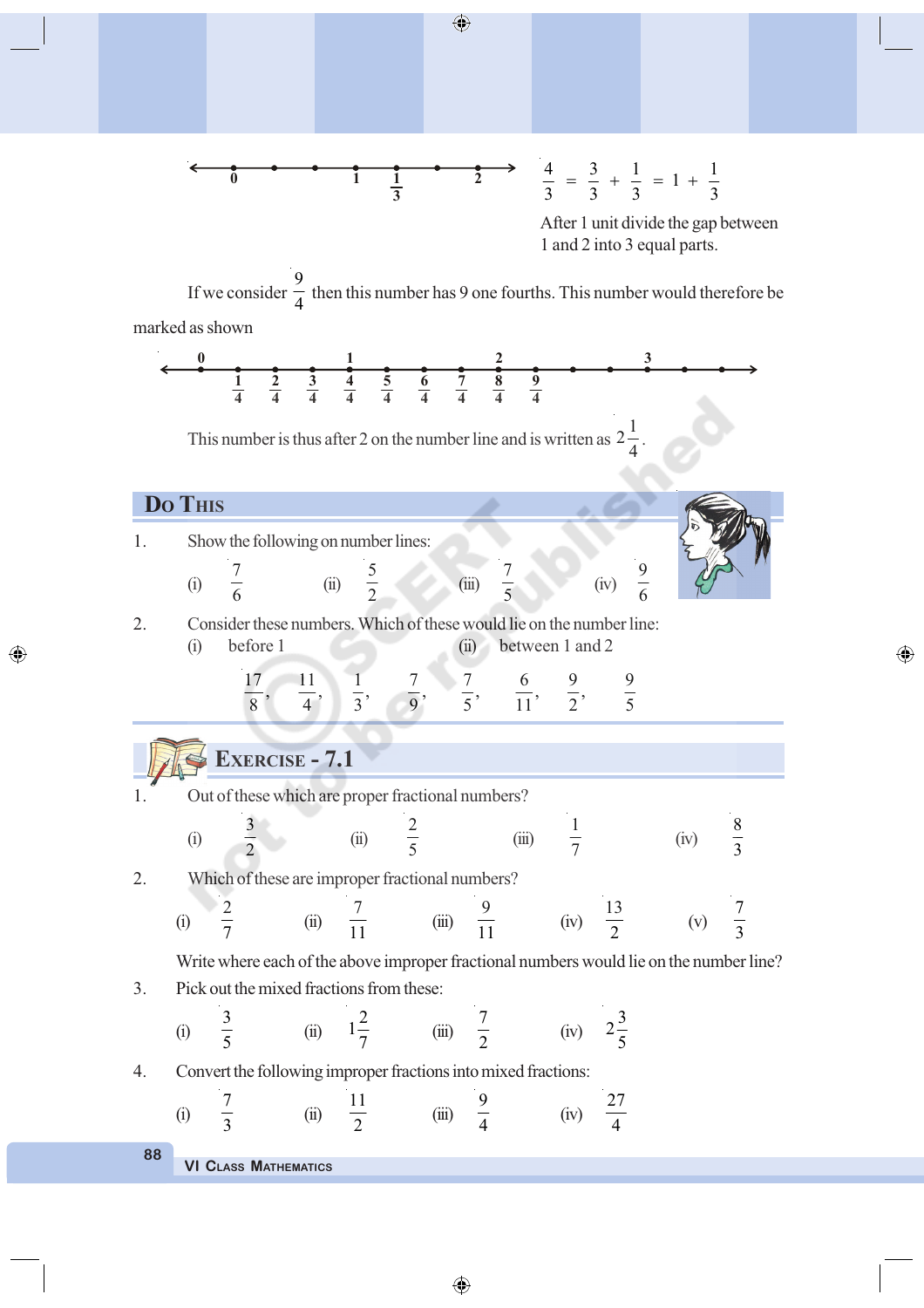

◈

◈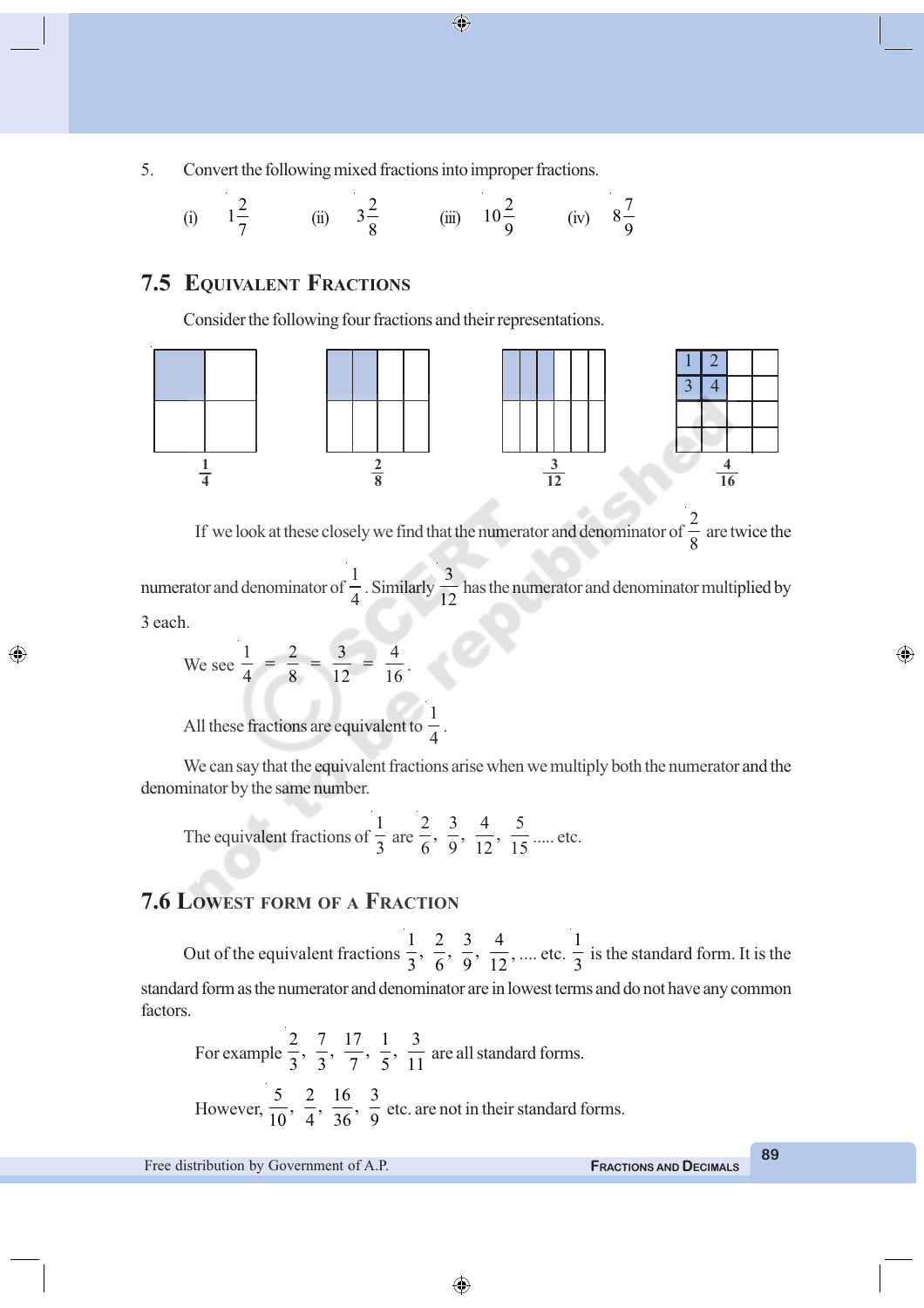5. Convert the following mixed fractions into improper fractions.

(i) 
$$
1\frac{2}{7}
$$
 (ii)  $3\frac{2}{8}$  (iii)  $10\frac{2}{9}$  (iv)  $8\frac{7}{9}$ 

# **7.5 EQUIVALENT FRACTIONS**

Consider the following four fractions and their representations.



 $\bigoplus$ 

If we look at these closely we find that the numerator and denominator of 2  $\frac{1}{8}$  are twice the

numerator and denominator of 1  $\frac{1}{4}$ . Similarly 3  $\frac{1}{12}$  has the numerator and denominator multiplied by 3 each.

We see 
$$
\frac{1}{4} = \frac{2}{8} = \frac{3}{12} = \frac{4}{16}
$$
.

◈

All these fractions are equivalent to 1 4

We can say that the equivalent fractions arise when we multiply both the numerator and the denominator by the same number.

.

The equivalent fractions of 1  $\frac{1}{3}$  are  $\frac{2}{6}, \frac{3}{9}, \frac{4}{12}, \frac{5}{15}$  ..... etc.

# **7.6 LOWEST FORM OF A FRACTION**

Out of the equivalent fractions  $\frac{1}{3}$ ,  $\frac{2}{6}$ ,  $\frac{3}{9}$ ,  $\frac{4}{12}$ , .... etc. 1  $\frac{1}{3}$  is the standard form. It is the standard form as the numerator and denominator are in lowest terms and do not have any common factors.

For example  $\frac{2}{3}, \frac{7}{3}, \frac{17}{7}, \frac{1}{5}, \frac{3}{11}$  are all standard forms. However,  $\frac{5}{10}$ ,  $\frac{2}{4}$ ,  $\frac{16}{36}$ ,  $\frac{3}{9}$  etc. are not in their standard forms.

Free distribution by Government of A.P. **FRACTIONS AND DECIMALS**

**89**

◈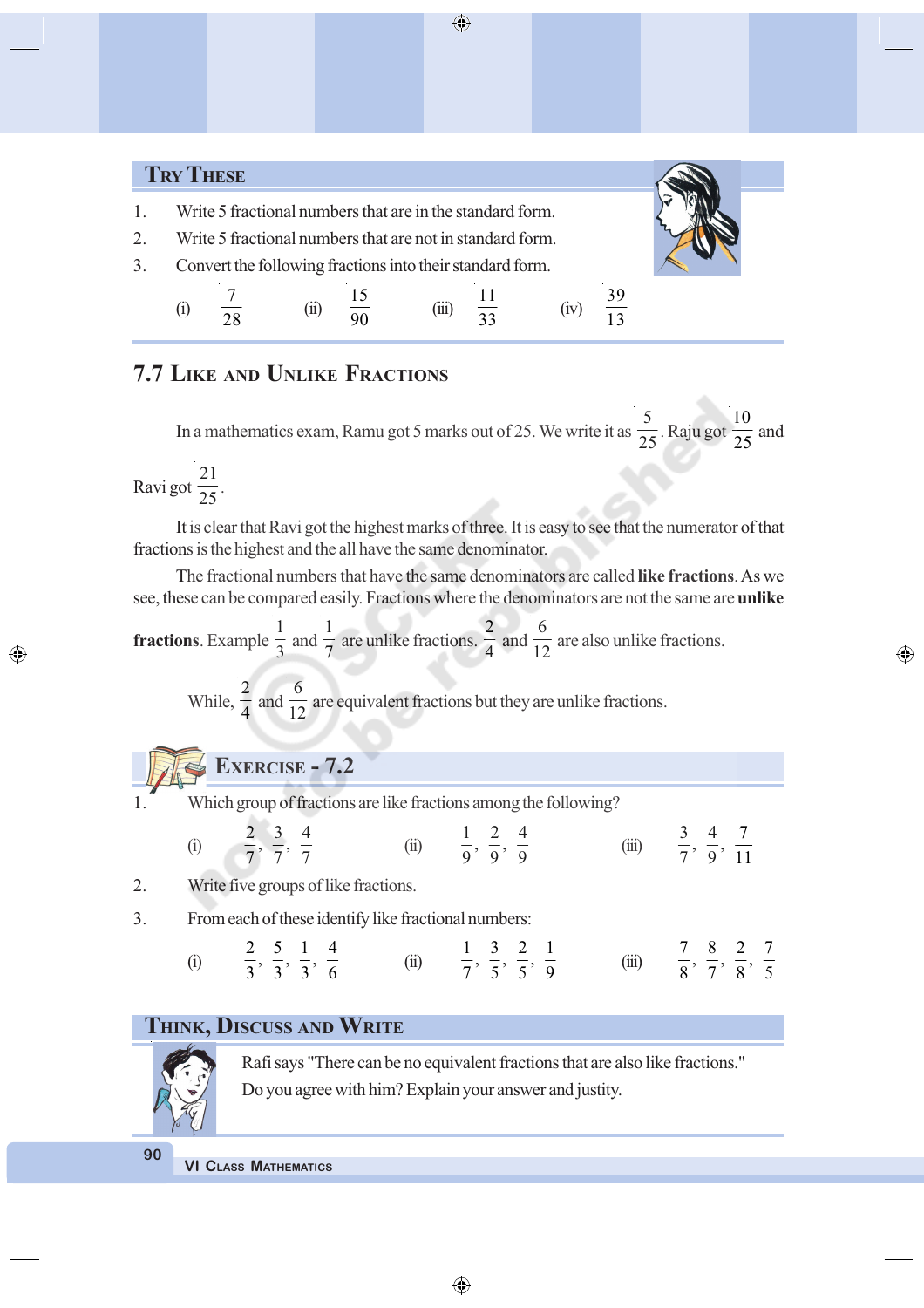# **TRY THESE**

- 1. Write 5 fractional numbers that are in the standard form.
- 2. Write 5 fractional numbers that are not in standard form. 3. Convert the following fractions into their standard form.



⊕

(i) 7  $\frac{1}{28}$  (ii) 15  $(iii)$ 11  $\frac{11}{33}$  (iv) 39 13

# **7.7 LIKE AND UNLIKE FRACTIONS**

In a mathematics exam, Ramu got 5 marks out of 25. We write it as 5  $\frac{1}{25}$ . Raju got 10  $\frac{1}{25}$  and

Ravi got 21  $\frac{1}{25}$ .

It is clear that Ravi got the highest marks of three. It is easy to see that the numerator of that fractions is the highest and the all have the same denominator.

The fractional numbers that have the same denominators are called **like fractions**. As we see, these can be compared easily. Fractions where the denominators are not the same are **unlike**

**fractions**. Example 1  $\frac{1}{3}$  and 1 7 are unlike fractions. 2  $\frac{1}{4}$  and 6  $\frac{1}{12}$  are also unlike fractions.

While, 2  $\frac{1}{4}$  and 6  $\frac{1}{12}$  are equivalent fractions but they are unlike fractions.

- **EXERCISE 7.2**
- 

◈

Which group of fractions are like fractions among the following?

|     | $2 \t3 \t4$                             |      | $1 \t2 \t4$                             |       | 3 4 7                                          |  |
|-----|-----------------------------------------|------|-----------------------------------------|-------|------------------------------------------------|--|
| (i) | $\frac{1}{7}, \frac{1}{7}, \frac{1}{7}$ | (ii) | $\frac{1}{9}, \frac{1}{9}, \frac{1}{9}$ | (iii) | $\frac{1}{7}$ , $\frac{1}{9}$ , $\frac{1}{11}$ |  |

- 2. Write five groups of like fractions.
- 3. From each of these identify like fractional numbers:

(i) 
$$
\frac{2}{3}, \frac{5}{3}, \frac{1}{3}, \frac{4}{6}
$$
 (ii)  $\frac{1}{7}, \frac{3}{5}, \frac{2}{5}, \frac{1}{9}$  (iii)  $\frac{7}{8}, \frac{8}{7}, \frac{2}{8}, \frac{7}{5}$ 

# **THINK, DISCUSS AND WRITE**



Rafi says "There can be no equivalent fractions that are also like fractions." Do you agree with him? Explain your answer and justity.

**90**

**VI CLASS MATHEMATICS**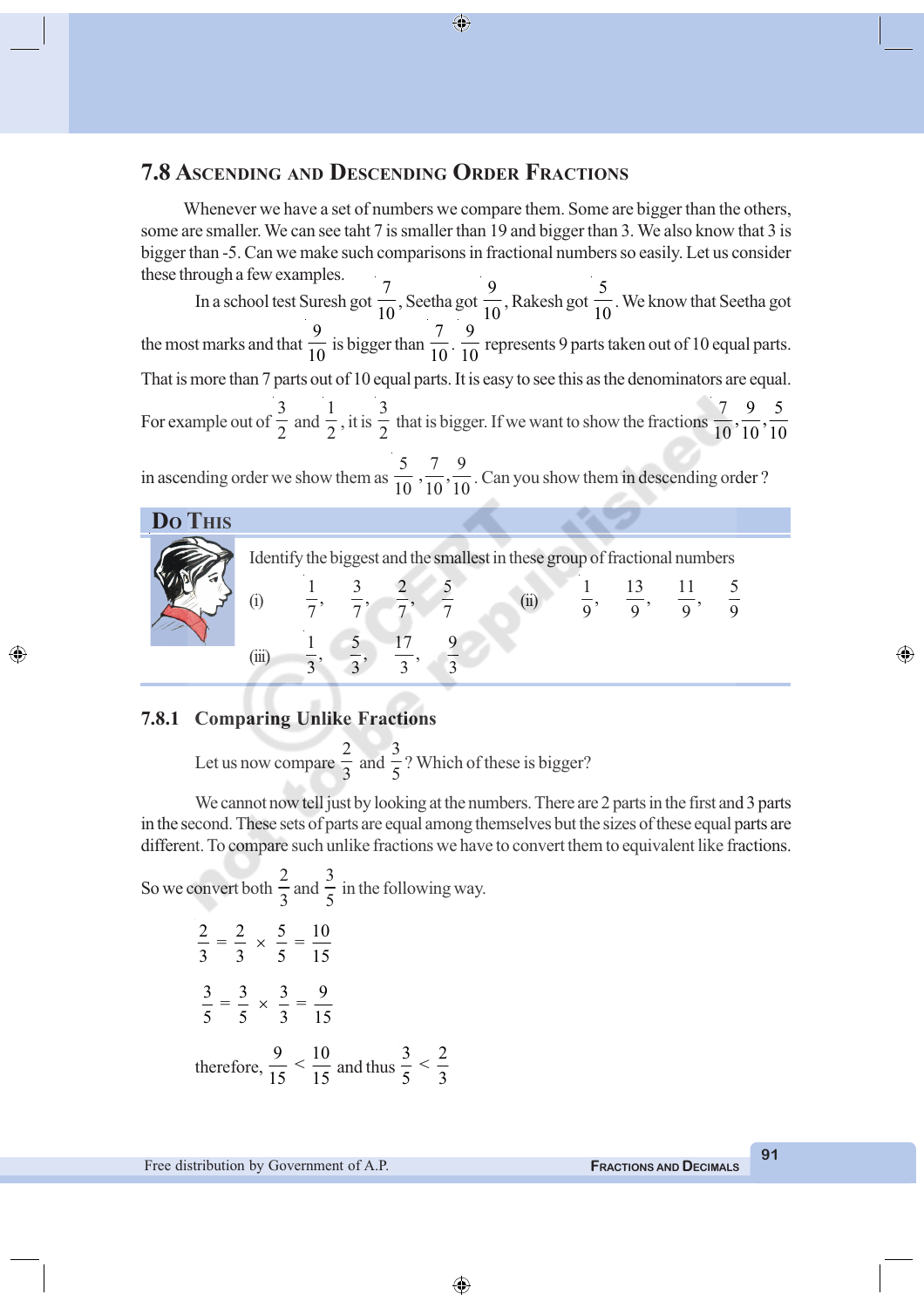### **7.8 ASCENDING AND DESCENDING ORDER FRACTIONS**

Whenever we have a set of numbers we compare them. Some are bigger than the others, some are smaller. We can see taht 7 is smaller than 19 and bigger than 3. We also know that 3 is bigger than -5. Can we make such comparisons in fractional numbers so easily. Let us consider these through a few examples.

 $\bigcirc$ 

In a school test Suresh got 7  $\frac{1}{10}$ , Seetha got 9  $\frac{1}{10}$ , Rakesh got 5  $\frac{1}{10}$ . We know that Seetha got the most marks and that 9  $\frac{1}{10}$  is bigger than 7  $\frac{1}{10}$ . 9  $\frac{1}{10}$  represents 9 parts taken out of 10 equal parts. That is more than 7 parts out of 10 equal parts. It is easy to see this as the denominators are equal. For example out of 3  $\frac{1}{2}$  and 1  $\frac{1}{2}$ , it is 3  $\frac{1}{2}$  that is bigger. If we want to show the fractions  $\frac{7}{10}, \frac{9}{10}, \frac{5}{10}$  $10^{\degree}10^{\degree}10$ in ascending order we show them as  $\frac{5}{10}$ ,  $\frac{7}{10}$ ,  $\frac{9}{10}$ . Can you show them in descending order ? **DO THIS**

|  |           |  | Identify the biggest and the smallest in these group of fractional numbers |  |  |  |
|--|-----------|--|----------------------------------------------------------------------------|--|--|--|
|  | $\bar{H}$ |  |                                                                            |  |  |  |
|  |           |  |                                                                            |  |  |  |

#### **7.8.1 Comparing Unlike Fractions**

◈

Let us now compare 2  $\frac{1}{3}$  and 3  $\frac{1}{5}$ ? Which of these is bigger?

We cannot now tell just by looking at the numbers. There are 2 parts in the first and 3 parts in the second. These sets of parts are equal among themselves but the sizes of these equal parts are different. To compare such unlike fractions we have to convert them to equivalent like fractions.

So we convert both 2  $\frac{1}{3}$  and 3  $\frac{1}{5}$  in the following way.  $\frac{2}{2} = \frac{2}{3} \times \frac{5}{7} = \frac{10}{17}$ 3 3 5 15  $\times$  $\frac{3}{2} = \frac{3}{2} \times \frac{3}{2} = \frac{9}{12}$ 5 5 3 15  $\times$ 

therefore, 
$$
\frac{9}{15} < \frac{10}{15}
$$
 and thus  $\frac{3}{5} < \frac{2}{3}$ 

Free distribution by Government of A.P. **FRACTIONS AND DECIMALS**

**91**

◈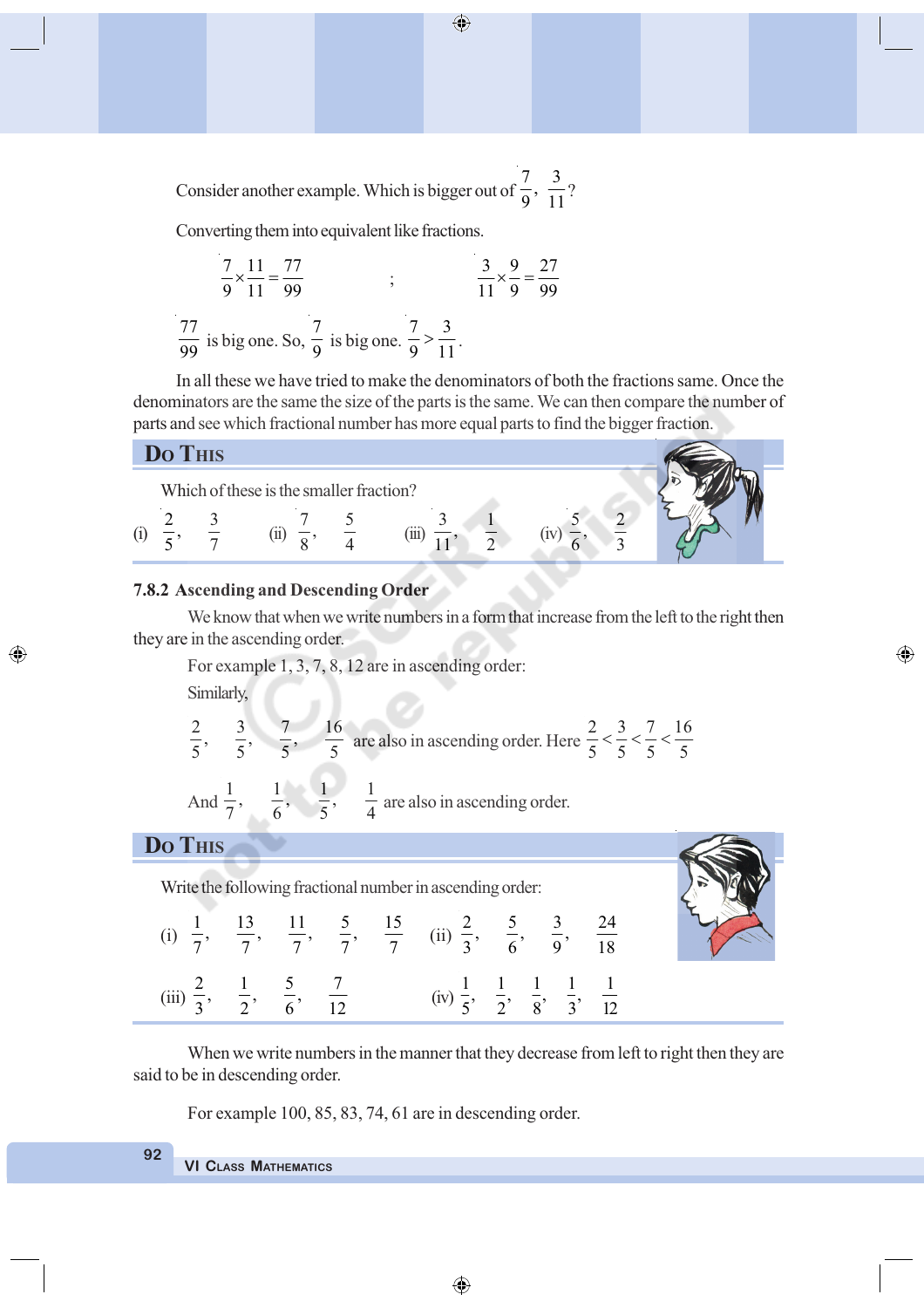Consider another example. Which is bigger out of  $\frac{7}{9}, \frac{3}{11}$ ?

Converting them into equivalent like fractions.

$$
\frac{7}{9} \times \frac{11}{11} = \frac{77}{99}
$$
;  $\frac{3}{11} \times \frac{9}{9} = \frac{27}{99}$   

$$
\frac{77}{99}
$$
 is big one. So,  $\frac{7}{9}$  is big one.  $\frac{7}{9} > \frac{3}{11}$ .

In all these we have tried to make the denominators of both the fractions same. Once the denominators are the same the size of the parts is the same. We can then compare the number of parts and see which fractional number has more equal parts to find the bigger fraction.

## **DO***O*

◈

| $LU$ THP |                                         |  |  |
|----------|-----------------------------------------|--|--|
|          | Which of these is the smaller fraction? |  |  |
|          |                                         |  |  |
|          |                                         |  |  |

#### **7.8.2 Ascending and Descending Order**

We know that when we write numbers in a form that increase from the left to the right then they are in the ascending order.

◈

For example 1, 3, 7, 8, 12 are in ascending order: Similarly,

$$
\frac{2}{5}, \quad \frac{3}{5}, \quad \frac{7}{5}, \quad \frac{16}{5} \text{ are also in ascending order. Here } \frac{2}{5} < \frac{3}{5} < \frac{7}{5} < \frac{16}{5}
$$

And  $\frac{1}{7}$ ,  $\frac{1}{6}$ ,  $\frac{1}{5}$ ,  $\frac{1}{4}$  are also in ascending order.

#### **DO THIS**

Write the following fractional number in ascending order:

|  |  |                                                                                                                                                          |  | (i) $\frac{1}{7}$ , $\frac{13}{7}$ , $\frac{11}{7}$ , $\frac{5}{7}$ , $\frac{15}{7}$ (ii) $\frac{2}{3}$ , $\frac{5}{6}$ , $\frac{3}{9}$ , $\frac{24}{18}$ |
|--|--|----------------------------------------------------------------------------------------------------------------------------------------------------------|--|-----------------------------------------------------------------------------------------------------------------------------------------------------------|
|  |  | (iii) $\frac{2}{3}$ , $\frac{1}{2}$ , $\frac{5}{6}$ , $\frac{7}{12}$ (iv) $\frac{1}{5}$ , $\frac{1}{2}$ , $\frac{1}{8}$ , $\frac{1}{3}$ , $\frac{1}{12}$ |  |                                                                                                                                                           |

When we write numbers in the manner that they decrease from left to right then they are said to be in descending order.

For example 100, 85, 83, 74, 61 are in descending order.

#### **VI CLASS MATHEMATICS**

**92**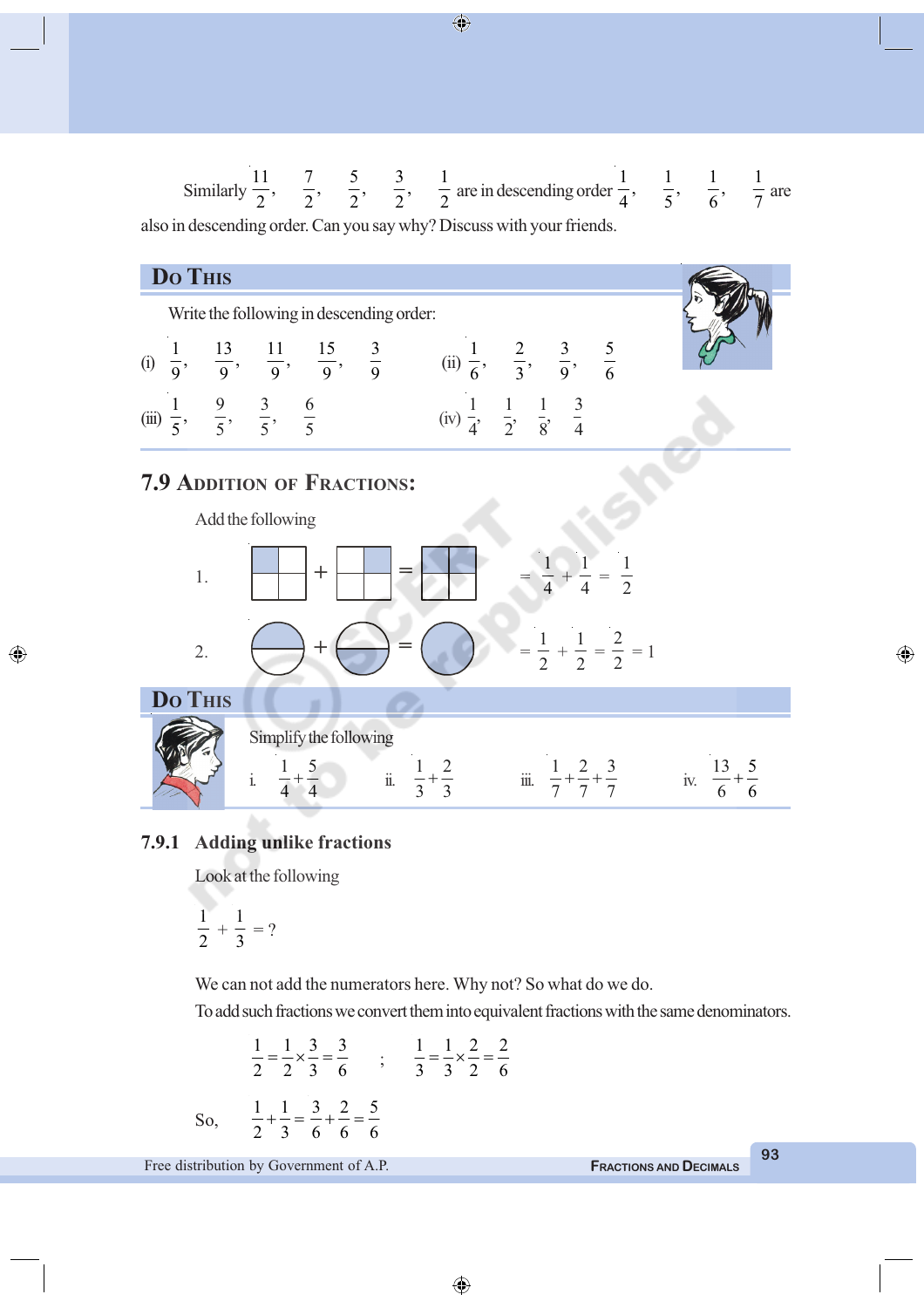Similarly 
$$
\frac{11}{2}
$$
,  $\frac{7}{2}$ ,  $\frac{5}{2}$ ,  $\frac{3}{2}$ ,  $\frac{1}{2}$  are in descending order  $\frac{1}{4}$ ,  $\frac{1}{5}$ ,  $\frac{1}{6}$ ,  $\frac{1}{7}$  are  
also in descending order. Can you say why? Discuss with your friends.

| Do Thus                                                                              | Write the following in descending order:                                                                                                                                                                                                                                                                                                                                                                                                                                                                                                                                                                                                                                                                                                                                                      |
|--------------------------------------------------------------------------------------|-----------------------------------------------------------------------------------------------------------------------------------------------------------------------------------------------------------------------------------------------------------------------------------------------------------------------------------------------------------------------------------------------------------------------------------------------------------------------------------------------------------------------------------------------------------------------------------------------------------------------------------------------------------------------------------------------------------------------------------------------------------------------------------------------|
| (i) $\frac{1}{9}$ , $\frac{13}{9}$ , $\frac{11}{9}$ , $\frac{15}{9}$ , $\frac{3}{9}$ | (ii) $\frac{1}{6}$ , $\frac{2}{3}$ , $\frac{3}{9}$ , $\frac{5}{6}$                                                                                                                                                                                                                                                                                                                                                                                                                                                                                                                                                                                                                                                                                                                            |
| (iii) $\frac{1}{5}$ , $\frac{9}{5}$ , $\frac{3}{5}$ , $\frac{6}{5}$                  | (iv) $\frac{1}{4}$ , $\frac{1}{2}$ , $\frac{1}{8}$ , $\frac{3}{4}$                                                                                                                                                                                                                                                                                                                                                                                                                                                                                                                                                                                                                                                                                                                            |
| 7.9 ADDITION OF FRACTIONS:                                                           |                                                                                                                                                                                                                                                                                                                                                                                                                                                                                                                                                                                                                                                                                                                                                                                               |
| Add the following                                                                    |                                                                                                                                                                                                                                                                                                                                                                                                                                                                                                                                                                                                                                                                                                                                                                                               |
| 1.                                                                                   | \n\n $\begin{aligned}\n &\text{Add the following} \\ &\text{Equation: } \end{aligned}$ \n                                                                                                                                                                                                                                                                                                                                                                                                                                                                                                                                                                                                                                                                                                     |
| 2.                                                                                   | \n\n $\begin{aligned}\n &\text{Simplify the following} \\ &\text{Simplify the following} \\ &\text{Simplify the following} \\ &\text{Simplify the following} \\ &\text{Simplify the following} \\ &\text{Simplify: } \frac{1}{4} + \frac{5}{4} + \frac{1}{4} + \frac{2}{5} + \frac{3}{5} + \frac{3}{5} + \frac{1}{5} + \frac{2}{5} + \frac{3}{5} + \frac{1}{5} + \frac{2}{5} + \frac{3}{5} + \frac{5}{5} + \frac{1}{5} + \frac{1}{5} + \frac{2}{5} + \frac{3}{5} + \frac{1}{5} + \frac{1}{5} + \frac{2}{5} + \frac{3}{5} + \frac{1}{5} + \frac{2}{5} + \frac{3}{5} + \frac{1}{5} + \frac{1}{5} + \frac{2}{5} + \frac{3}{5} + \frac{1}{5} + \frac{1}{5} + \frac{2}{5} + \frac{3}{5} + \frac{1}{5} + \frac{1}{5} + \frac{2}{5} + \frac{3}{5} + \frac{1}{5} + \frac{1}{5} + \frac{2}{5} + \frac$ |

#### **7.9.1 Adding unlike fractions**

Look at the following

$$
\frac{1}{2} + \frac{1}{3} = ?
$$

◈

We can not add the numerators here. Why not? So what do we do.

l.

To add such fractions we convert them into equivalent fractions with the same denominators.

 $\bigoplus$ 

$$
\frac{1}{2} = \frac{1}{2} \times \frac{3}{3} = \frac{3}{6} \qquad ; \qquad \frac{1}{3} = \frac{1}{3} \times \frac{2}{2} = \frac{2}{6}
$$
  
So, 
$$
\frac{1}{2} + \frac{1}{3} = \frac{3}{6} + \frac{2}{6} = \frac{5}{6}
$$

Free distribution by Government of A.P. **FRACTIONS** AND **DECIMALS** 

**93**

 $\bigoplus$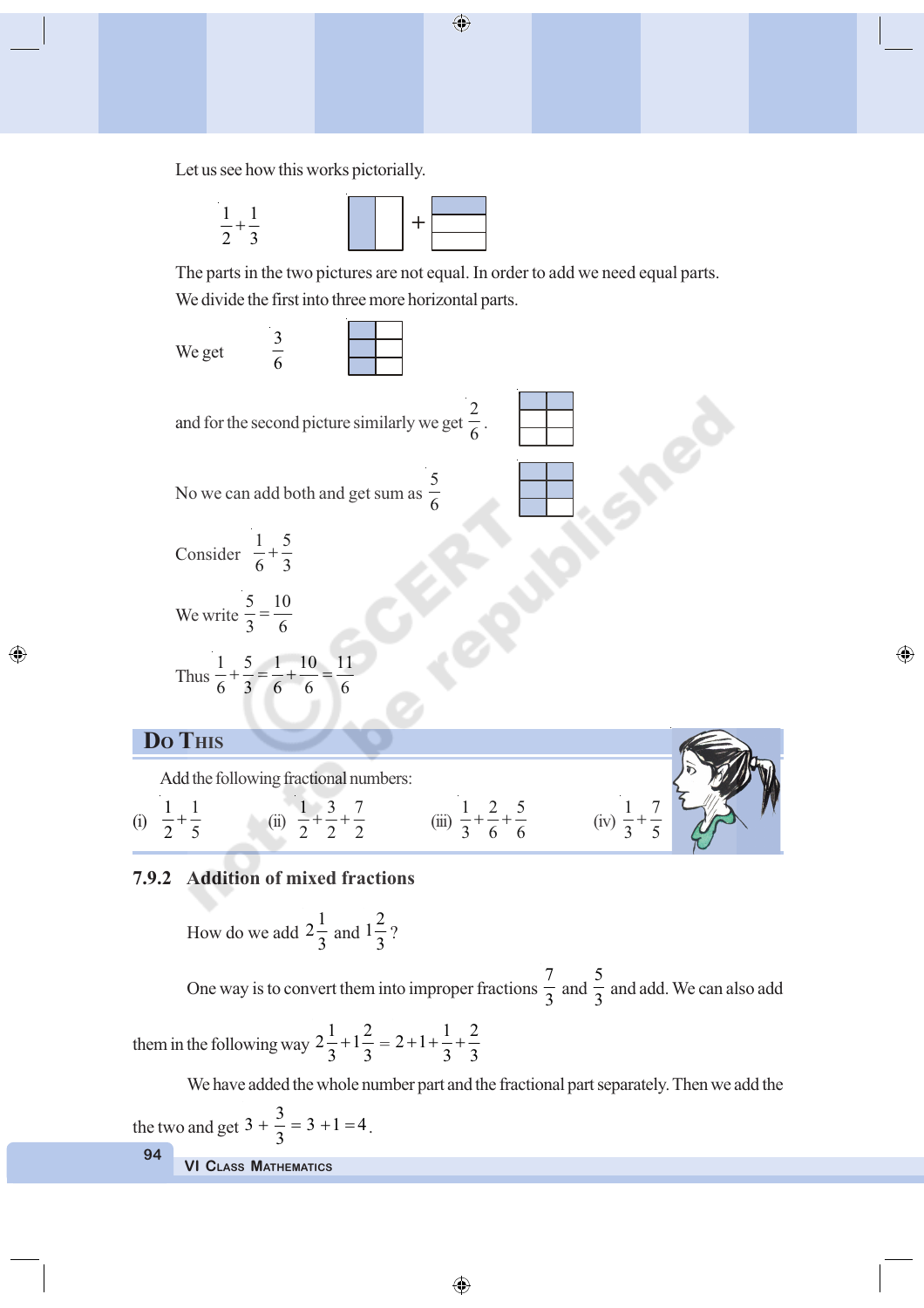Let us see how this works pictorially.



The parts in the two pictures are not equal. In order to add we need equal parts. We divide the first into three more horizontal parts.

 $\bigoplus$ 



Add the following fractional numbers:

(i)  $1 \quad 1$ 2 5  $+\frac{1}{5}$  (ii)  $\frac{1}{2} + \frac{3}{2} + \frac{7}{2}$ 2 2 2  $+\frac{3}{2}+\frac{7}{2}$  (iii)  $\frac{1}{2}+\frac{2}{6}+\frac{5}{6}$ 

◈

#### **7.9.2 Addition of mixed fractions**

How do we add  $2\frac{1}{2}$  $\frac{1}{3}$  and  $1\frac{2}{2}$  $\frac{1}{3}$ ?

One way is to convert them into improper fractions 7  $\frac{1}{3}$  and 5  $\frac{1}{3}$  and add. We can also add

 $\frac{1}{3} + \frac{2}{6} + \frac{5}{6}$  (iv)  $\frac{1}{3} + \frac{7}{5}$ 

3 5  $\overline{+}$ 

◈

them in the following way  $2\frac{1}{2}+1\frac{2}{3}$  $\frac{1}{3} + 1\frac{2}{3} = 2 + 1 + \frac{1}{3} + \frac{2}{3}$ 3 3  $^{+}$ 

We have added the whole number part and the fractional part separately. Then we add the

**VI CLASS MATHEMATICS 94** the two and get  $3 + \frac{3}{2} = 3 + 1 = 4$  $+\frac{3}{3} = 3 + 1 = 4$ .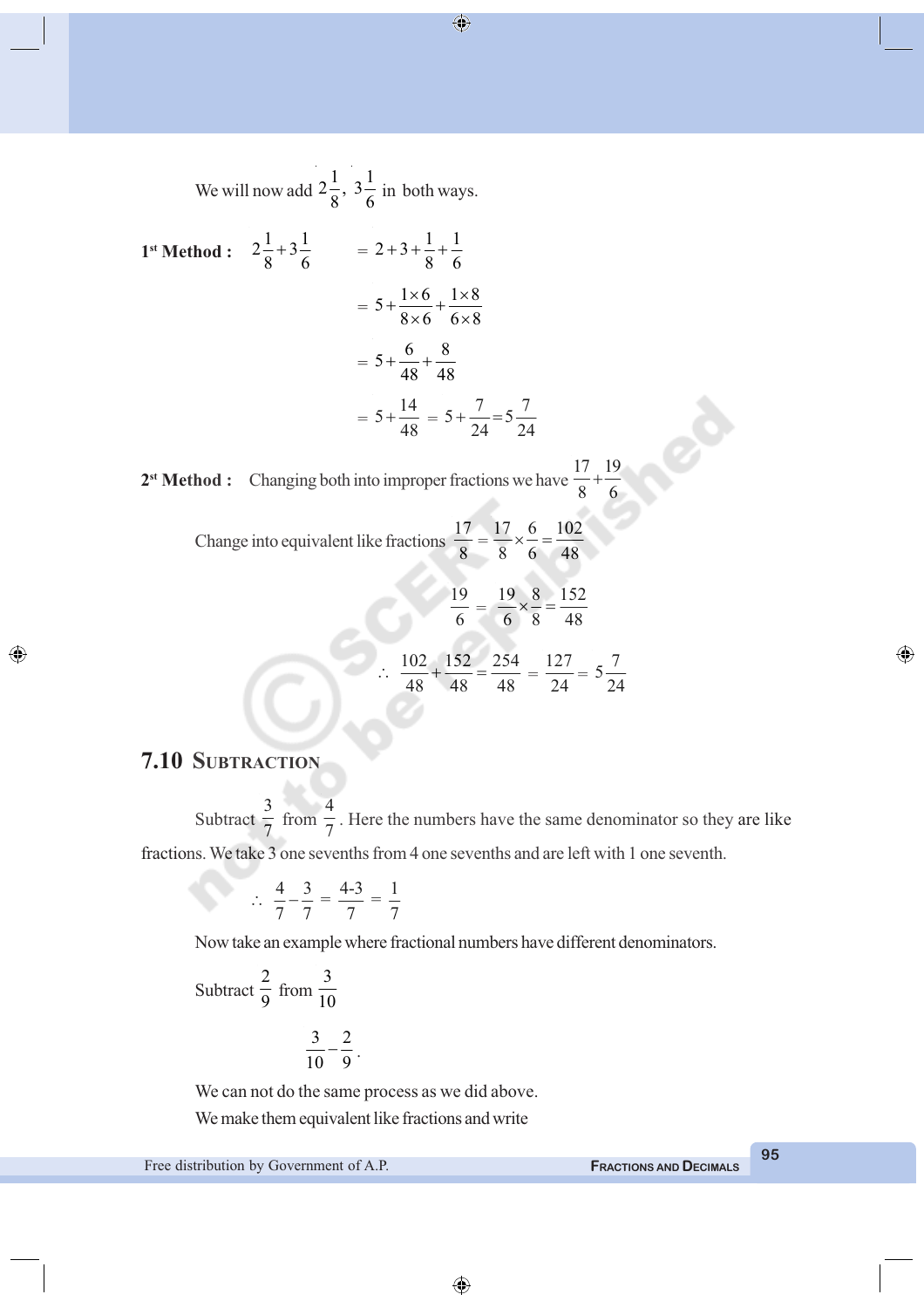We will now add 
$$
2\frac{1}{8}
$$
,  $3\frac{1}{6}$  in both ways.  
\n1st **Method :**  $2\frac{1}{8} + 3\frac{1}{6}$  =  $2 + 3 + \frac{1}{8} + \frac{1}{6}$   
\n=  $5 + \frac{1 \times 6}{8 \times 6} + \frac{1 \times 8}{6 \times 8}$   
\n=  $5 + \frac{6}{48} + \frac{8}{48}$   
\n=  $5 + \frac{14}{48} = 5 + \frac{7}{24} = 5\frac{7}{24}$ 

2<sup>st</sup> Method : Changing both into improper fractions we have 17 19 8 6  $^{+}$ 

> Change into equivalent like fractions 17  $\frac{1}{8}$ 17 6 102 8 6 48  $x - \frac{0}{x} =$

$$
\frac{19}{6} = \frac{19}{6} \times \frac{8}{8} = \frac{152}{48}
$$
  

$$
\therefore \frac{102}{48} + \frac{152}{48} = \frac{254}{48} = \frac{127}{24} = 5\frac{7}{24}
$$

# **7.10 SUBTRACTION**

◈

Subtract 3  $\frac{1}{7}$  from 4 7 . Here the numbers have the same denominator so they are like fractions. We take 3 one sevenths from 4 one sevenths and are left with 1 one seventh.

$$
\therefore \ \frac{4}{7} - \frac{3}{7} = \frac{4 \cdot 3}{7} = \frac{1}{7}
$$

Now take an example where fractional numbers have different denominators.

Subtract 
$$
\frac{2}{9}
$$
 from  $\frac{3}{10}$ 

$$
\frac{3}{10}-\frac{2}{9}.
$$

We can not do the same process as we did above. We make them equivalent like fractions and write

Free distribution by Government of A.P. **FRACTIONS AND DECIMALS**

**95**

◈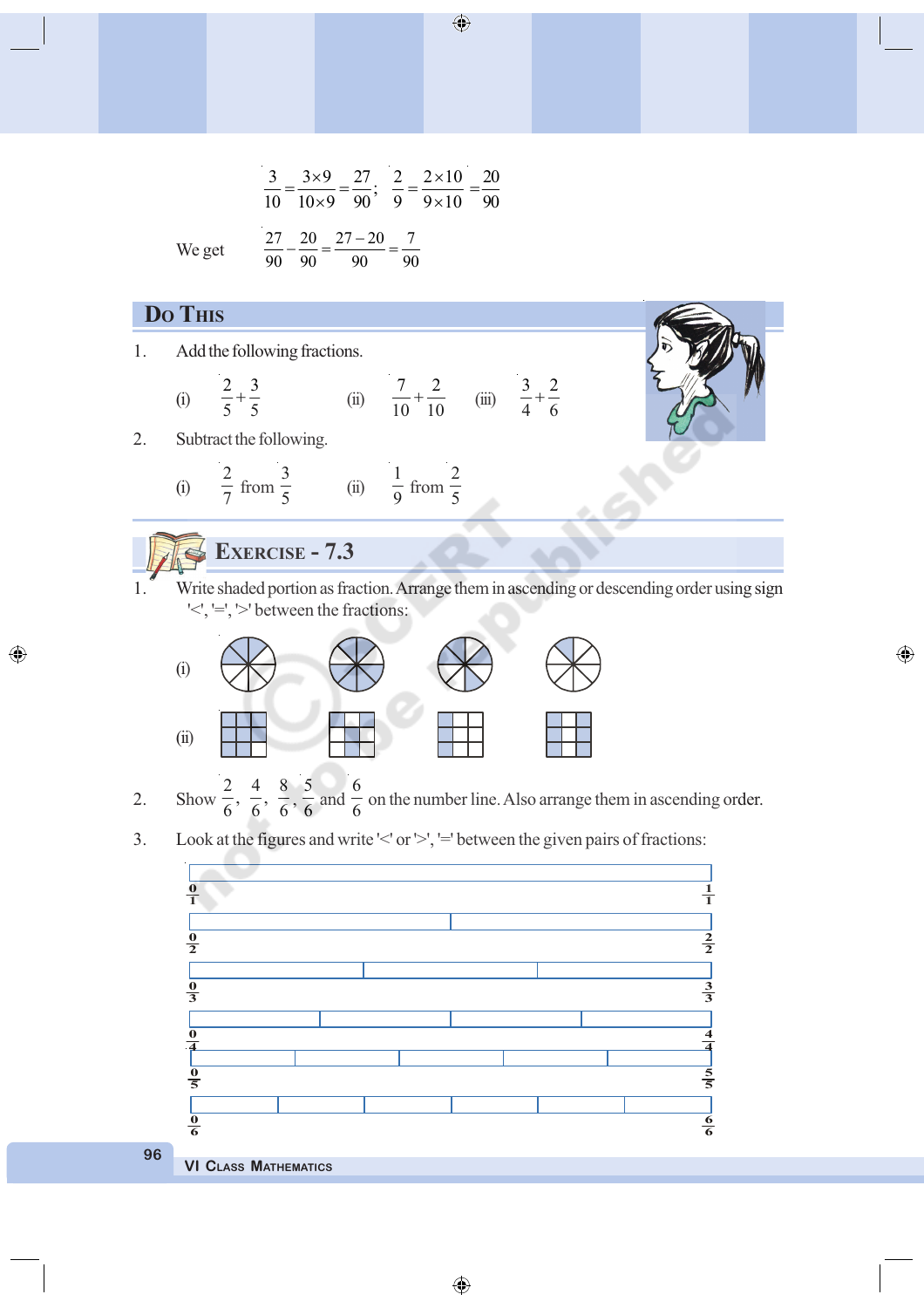$\frac{3}{2} = \frac{3 \times 9}{10} = \frac{27}{20}$ ;  $10 \t10 \times 9$  90  $=\frac{3\times9}{1}$  $\times$ 2  $2 \times 10$ 9  $9 \times 10$  $=$  $\frac{2 \times}{2 \times 1}$  $\times$ 20 90 = 27 20 27 20 7 90 90 90 90  $-\frac{20}{2} = \frac{27-20}{2} =$ 

We get

#### **DO THIS**

◈

- 1. Add the following fractions.
	- (i) 2 3  $\frac{2}{5} + \frac{3}{5}$  (ii) 7 2  $rac{7}{10} + \frac{2}{10}$  (iii)  $rac{3}{4} + \frac{2}{6}$ 4 6  $^{+}$
- 2. Subtract the following.

(i) 
$$
\frac{2}{7}
$$
 from  $\frac{3}{5}$  (ii)  $\frac{1}{9}$  from  $\frac{2}{5}$ 

# **EXERCISE - 7.3**

Write shaded portion as fraction. Arrange them in ascending or descending order using sign '<', '=', '>' between the fractions:

◈



- 2. Show  $\frac{2}{6}, \frac{4}{6}, \frac{8}{6},$ 5  $\frac{1}{6}$  and 6  $\frac{1}{6}$  on the number line. Also arrange them in ascending order.
- 3. Look at the figures and write ' $\leq'$  or ' $\geq'$ ', '=' between the given pairs of fractions:



**96**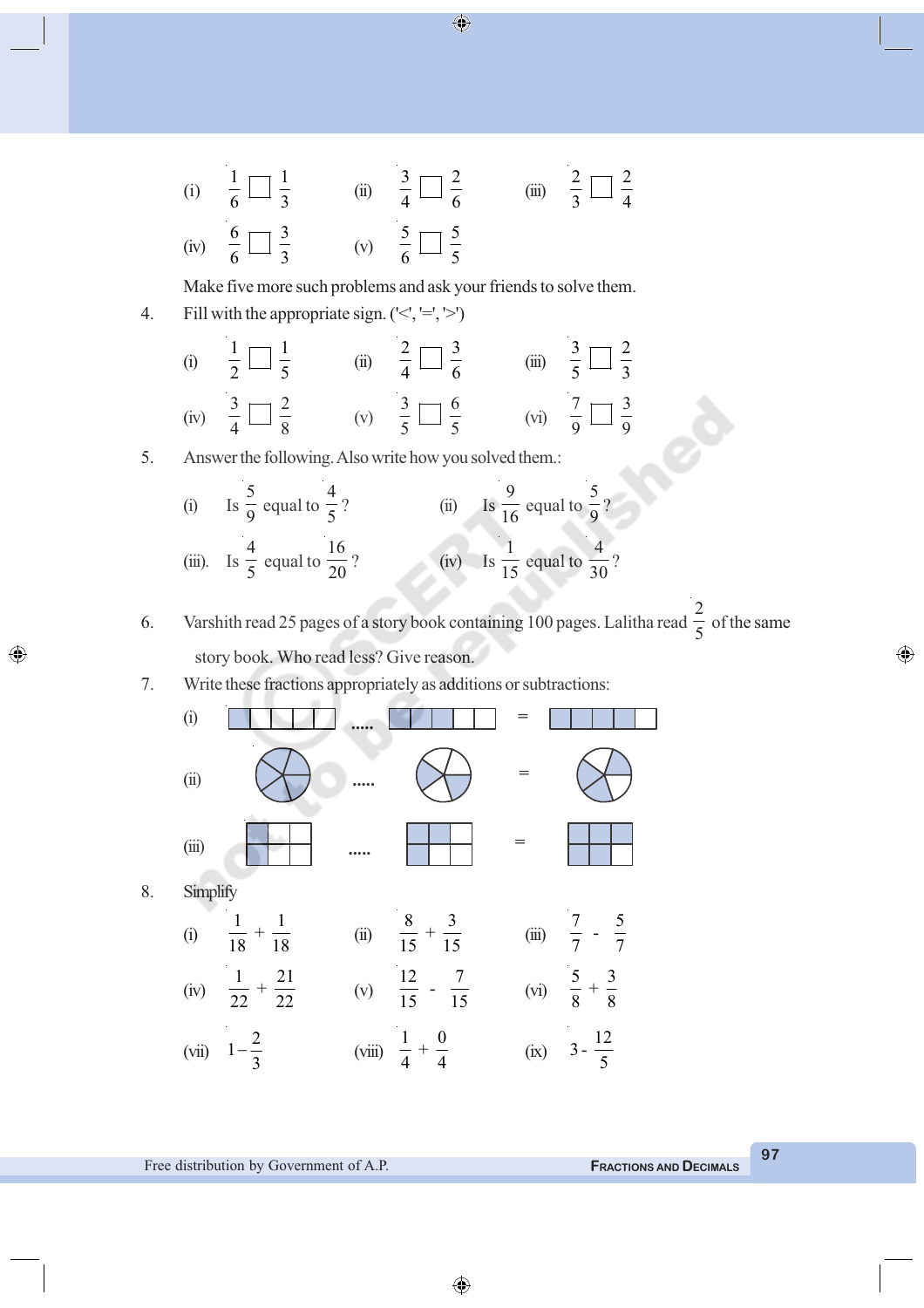(i) 
$$
\frac{1}{6} \square \frac{1}{3}
$$
 (ii)  $\frac{3}{4} \square \frac{2}{6}$  (iii)  $\frac{2}{3} \square \frac{2}{4}$   
(iv)  $\frac{6}{6} \square \frac{3}{3}$  (v)  $\frac{5}{6} \square \frac{5}{5}$ 

Make five more such problems and ask your friends to solve them.

4. Fill with the appropriate sign.  $(\leq, \leq, \leq)$ 

(i) 
$$
\frac{1}{2} \Box \frac{1}{5}
$$
 (ii)  $\frac{2}{4} \Box \frac{3}{6}$  (iii)  $\frac{3}{5} \Box \frac{2}{3}$   
(iv)  $\frac{3}{4} \Box \frac{2}{8}$  (v)  $\frac{3}{5} \Box \frac{6}{5}$  (vi)  $\frac{7}{9} \Box \frac{3}{9}$ 

5. Answer the following. Also write how you solved them.:

(i) Is 
$$
\frac{5}{9}
$$
 equal to  $\frac{4}{5}$ ?  
\n(ii) Is  $\frac{9}{16}$  equal to  $\frac{5}{9}$ ?  
\n(iii). Is  $\frac{4}{5}$  equal to  $\frac{16}{20}$ ?  
\n(iv) Is  $\frac{1}{15}$  equal to  $\frac{4}{30}$ ?

6. Varshith read 25 pages of a story book containing 100 pages. Lalitha read 2  $\frac{1}{5}$  of the same story book. Who read less? Give reason.

7. Write these fractions appropriately as additions or subtractions:



◈

⊕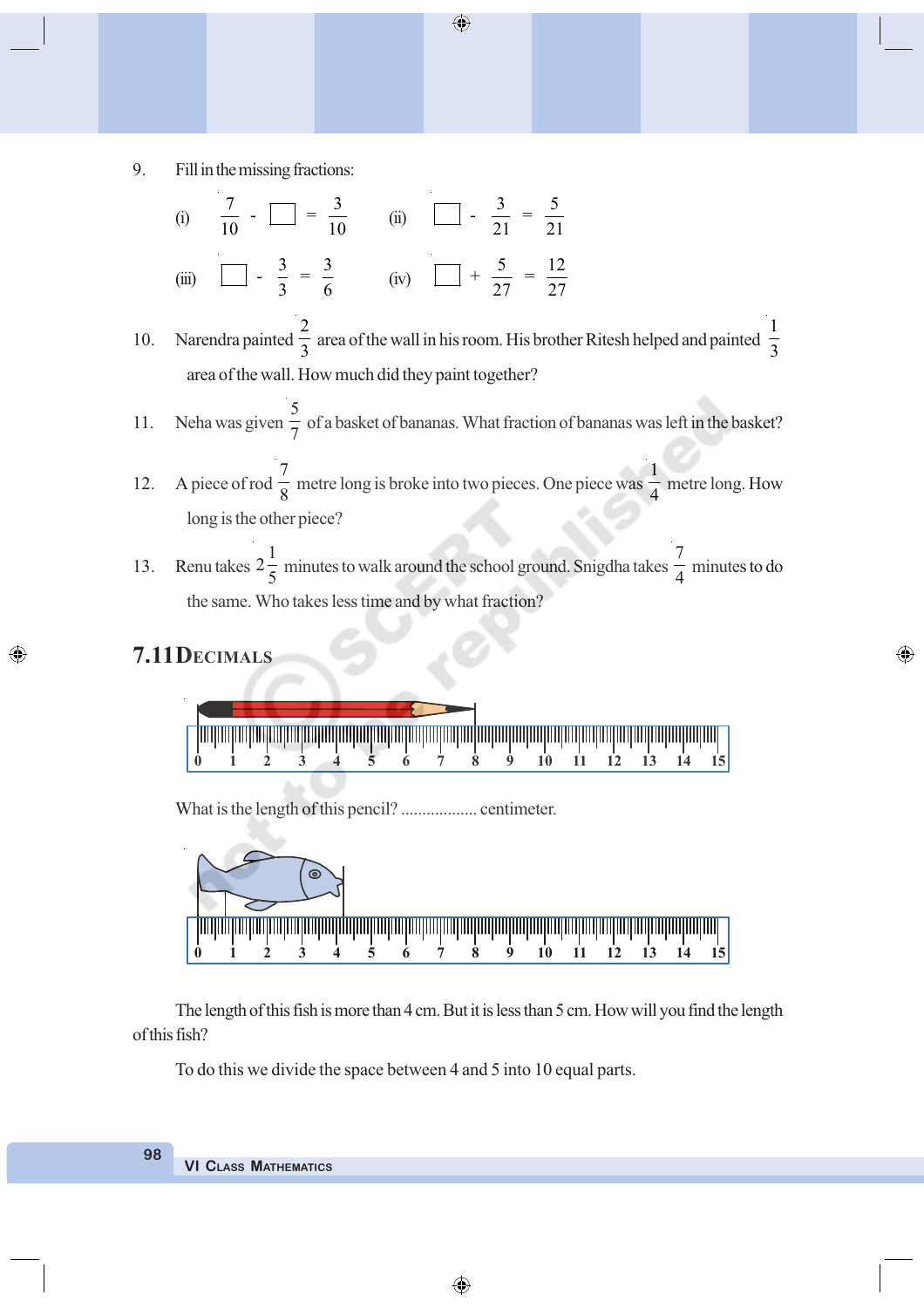9. Fill in the missing fractions:

(i) 
$$
\frac{7}{10} - \frac{3}{10} = \frac{3}{10}
$$
 (ii)  $\frac{3}{21} = \frac{5}{21}$   
(iii)  $\frac{3}{5} = \frac{3}{6}$  (iv)  $\frac{5}{5} = \frac{12}{27}$ 

10. Narendra painted 2 3 area of the wall in his room. His brother Ritesh helped and painted 1 3 area of the wall. How much did they paint together?

 $\bigoplus$ 

- 11. Neha was given 5 7 of a basket of bananas. What fraction of bananas was left in the basket?
- 12. A piece of rod 7  $\frac{1}{8}$  metre long is broke into two pieces. One piece was 1 4 metre long. How long is the other piece?
- 13. Renu takes  $2\frac{1}{7}$ 5 minutes to walk around the school ground. Snigdha takes 7  $\frac{1}{4}$  minutes to do the same. Who takes less time and by what fraction?

◈

### **7.11DECIMALS**

⊕

**0 1 2 3 4 5 6 7 8 9 10 11 12 13 14 15**

What is the length of this pencil? .................... centimeter.



The length of this fish is more than 4 cm. But it is less than 5 cm. How will you find the length of this fish?

To do this we divide the space between 4 and 5 into 10 equal parts.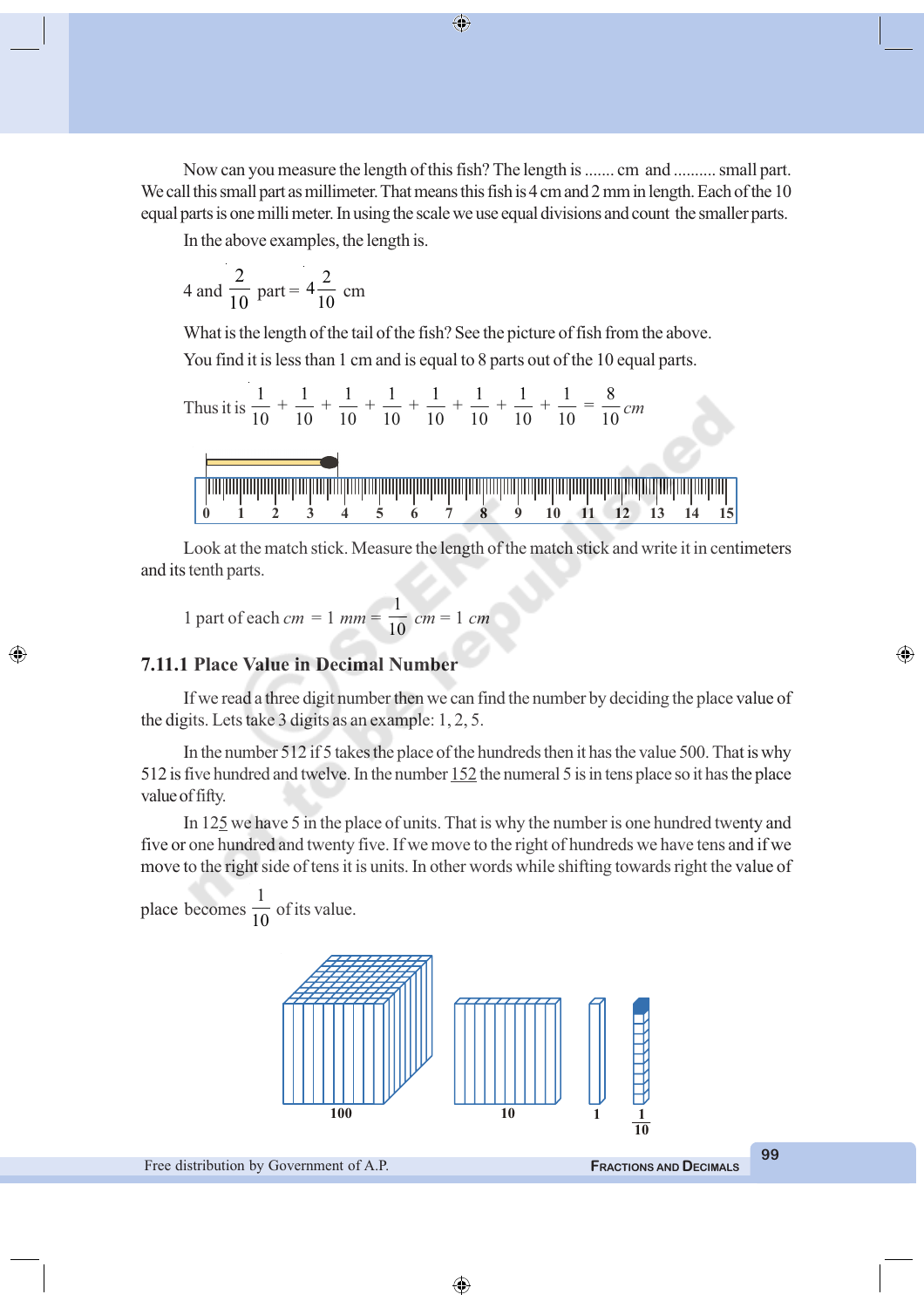Now can you measure the length of this fish? The length is ....... cm and .......... small part. We call this small part as millimeter. That means this fish is 4 cm and 2 mm in length. Each of the 10 equal parts is one milli meter. In using the scale we use equal divisions and count the smaller parts.

⊕

In the above examples, the length is.

4 and 
$$
\frac{2}{10}
$$
 part =  $4\frac{2}{10}$  cm

What is the length of the tail of the fish? See the picture of fish from the above. You find it is less than 1 cm and is equal to 8 parts out of the 10 equal parts.

Thus it is 1 1 1 1 1 1 1 1 8 + + + + + + + = 10 10 10 10 10 10 10 10 10 *cm* **0 1 2 3 4 5 6 7 8 9 10 11 12 13 14 15**

Look at the match stick. Measure the length of the match stick and write it in centimeters and its tenth parts.

1 part of each 
$$
cm = 1
$$
  $mm = \frac{1}{10}$   $cm = 1$   $cm$ 

#### **7.11.1 Place Value in Decimal Number**

If we read a three digit number then we can find the number by deciding the place value of the digits. Lets take 3 digits as an example: 1, 2, 5.

In the number 512 if 5 takes the place of the hundreds then it has the value 500. That is why 512 is five hundred and twelve. In the number 152 the numeral 5 is in tens place so it has the place value of fifty.

In 125 we have 5 in the place of units. That is why the number is one hundred twenty and five or one hundred and twenty five. If we move to the right of hundreds we have tens and if we move to the right side of tens it is units. In other words while shifting towards right the value of

place becomes 1  $\frac{1}{10}$  of its value.

◈



**99**

⊕

⊕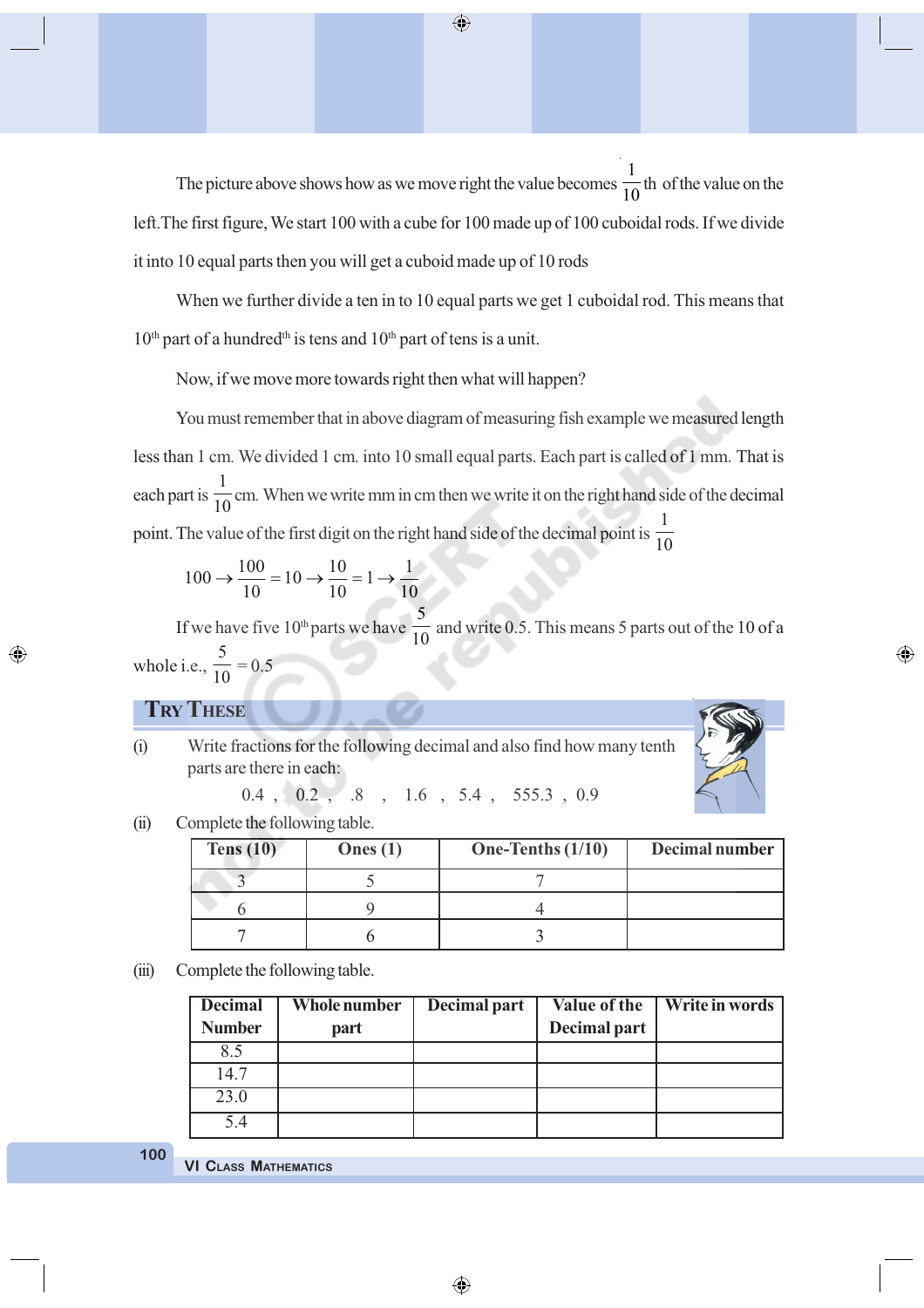The picture above shows how as we move right the value becomes 1  $\frac{1}{10}$ th of the value on the left.The first figure, We start 100 with a cube for 100 made up of 100 cuboidal rods. If we divide it into 10 equal parts then you will get a cuboid made up of 10 rods

When we further divide a ten in to 10 equal parts we get 1 cuboidal rod. This means that  $10<sup>th</sup>$  part of a hundred<sup>th</sup> is tens and  $10<sup>th</sup>$  part of tens is a unit.

Now, if we move more towards right then what will happen?

You must remember that in above diagram of measuring fish example we measured length less than 1 cm*.* We divided 1 cm*.* into 10 small equal parts. Each part is called of 1 mm*.* That is each part is  $\frac{1}{10}$  cm. When we write mm in cm then we write it on the right hand side of the decimal point. The value of the first digit on the right hand side of the decimal point is 1 10

$$
100 \rightarrow \frac{100}{10} = 10 \rightarrow \frac{10}{10} = 1 \rightarrow \frac{1}{10}
$$

If we have five  $10<sup>th</sup>$  parts we have 5  $\frac{1}{10}$  and write 0.5. This means 5 parts out of the 10 of a whole i.e., 5  $\frac{1}{10} = 0.5$ 

◈

#### **TRY THESE**

◈

(i) Write fractions for the following decimal and also find how many tenth parts are there in each:

0.4 , 0.2 , .8 , 1.6 , 5.4 , 555.3 , 0.9

(ii) Complete the following table.

| Tens $(10)$ | Ones $(1)$ | One-Tenths $(1/10)$ | Decimal number |
|-------------|------------|---------------------|----------------|
|             |            |                     |                |
|             |            |                     |                |
|             |            |                     |                |

(iii) Complete the following table.

| <b>Decimal</b> | Whole number | Decimal part | Value of the | Write in words |
|----------------|--------------|--------------|--------------|----------------|
| <b>Number</b>  | part         |              | Decimal part |                |
| 8.5            |              |              |              |                |
| 14.7           |              |              |              |                |
| 23.0           |              |              |              |                |
| 5.4            |              |              |              |                |

⊕

**100**

**VI CLASS MATHEMATICS**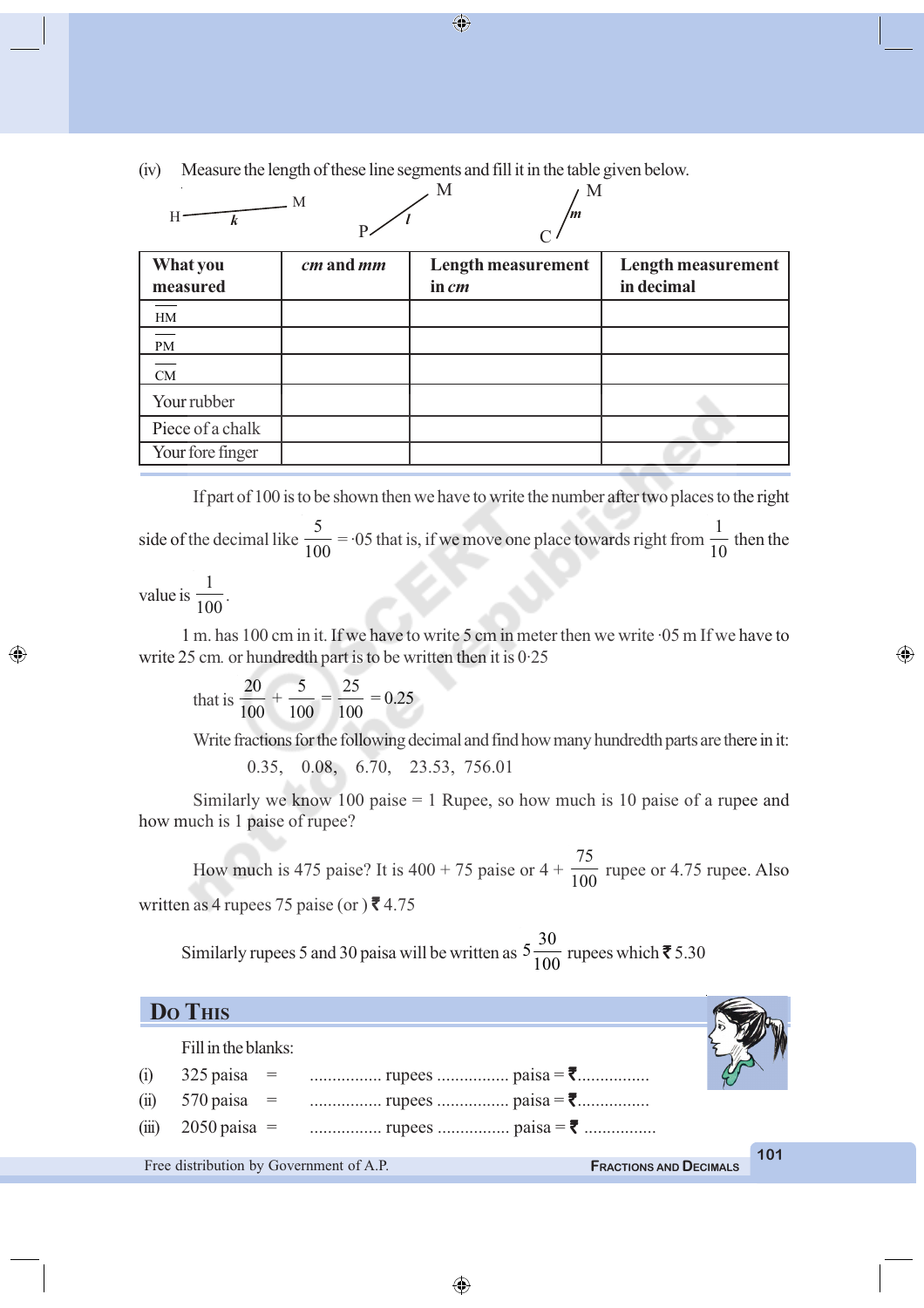(iv) Measure the length of these line segments and fill it in the table given below.

| Н                    | M         | M<br>M<br>m                        |                                         |
|----------------------|-----------|------------------------------------|-----------------------------------------|
| What you<br>measured | cm and mm | <b>Length measurement</b><br>in cm | <b>Length measurement</b><br>in decimal |
| HM                   |           |                                    |                                         |
| PM                   |           |                                    |                                         |
| CM                   |           |                                    |                                         |
| Your rubber          |           |                                    |                                         |
| Piece of a chalk     |           |                                    |                                         |
| Your fore finger     |           |                                    |                                         |

If part of 100 is to be shown then we have to write the number after two places to the right side of the decimal like 5  $\frac{1}{100}$  = ·05 that is, if we move one place towards right from 1  $\frac{1}{10}$  then the value is 1  $\frac{100}{}$ .

1 m. has 100 cm in it. If we have to write 5 cm in meter then we write ·05 m If we have to write 25 cm*.* or hundredth part is to be written then it is 0·25

that is 
$$
\frac{20}{100} + \frac{5}{100} = \frac{25}{100} = 0.25
$$

◈

Write fractions for the following decimal and find how many hundredth parts are there in it:

⊕

0.35, 0.08, 6.70, 23.53, 756.01

Similarly we know 100 paise  $= 1$  Rupee, so how much is 10 paise of a rupee and how much is 1 paise of rupee?

How much is 475 paise? It is  $400 + 75$  paise or  $4 +$ 75  $\frac{1}{100}$  rupee or 4.75 rupee. Also written as 4 rupees 75 paise (or  $\mathcal{F}$  4.75

Similarly rupees 5 and 30 paisa will be written as  $5\frac{30}{100}$  rupees which  $\bar{z}$  5.30

| Do This                                 |                               |
|-----------------------------------------|-------------------------------|
| Fill in the blanks:                     |                               |
| (i)                                     |                               |
| (ii)<br>$570 \text{ paisa}$ =           |                               |
| (iii)<br>$2050 \text{ paisa}$ =         |                               |
|                                         | 101                           |
| Free distribution by Government of A.P. | <b>FRACTIONS AND DECIMALS</b> |

 $\bigoplus$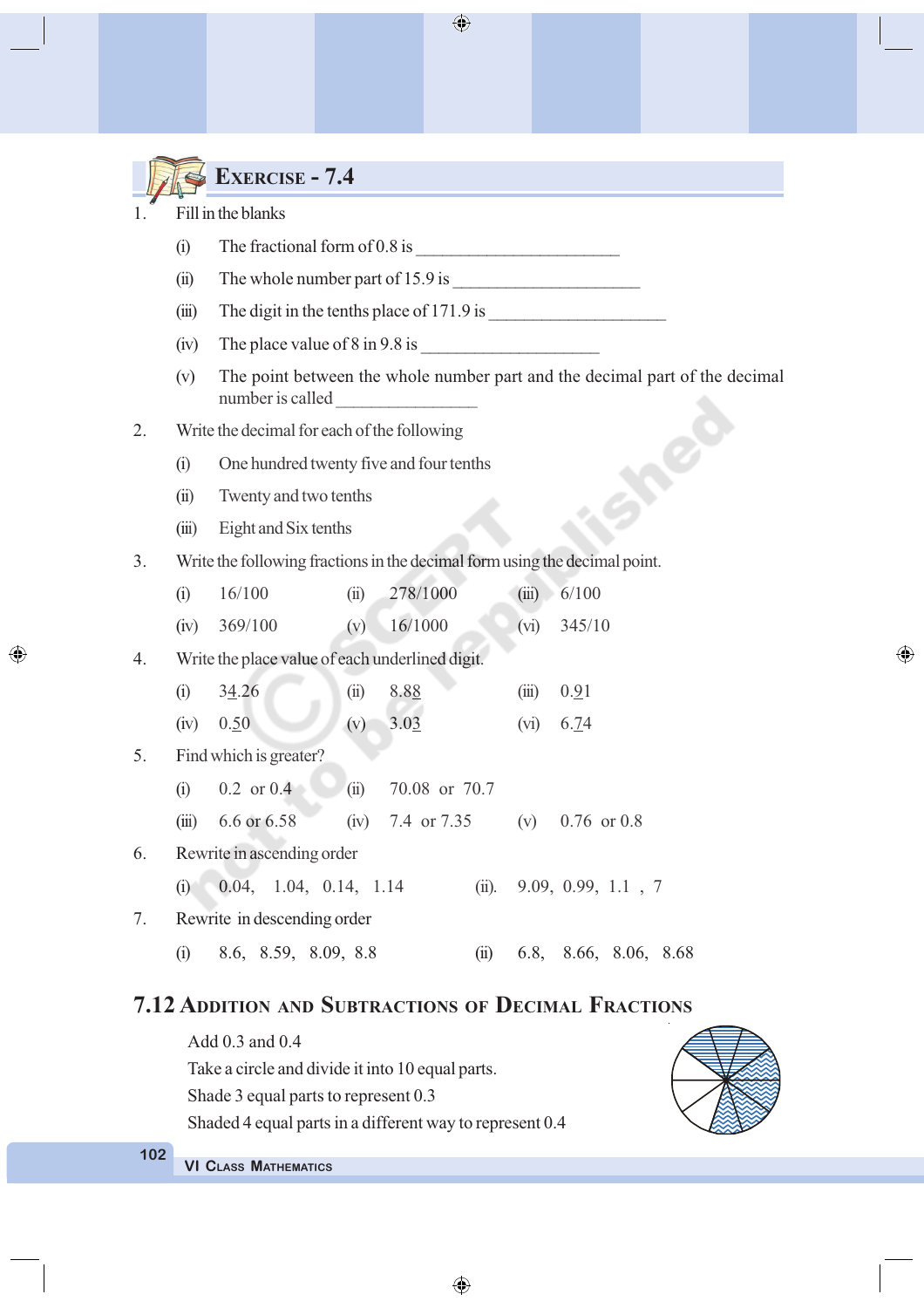|    |                             | <b>EXERCISE - 7.4</b>                                                                           |  |  |  |  |  |  |  |  |
|----|-----------------------------|-------------------------------------------------------------------------------------------------|--|--|--|--|--|--|--|--|
|    | Fill in the blanks          |                                                                                                 |  |  |  |  |  |  |  |  |
|    | (i)                         |                                                                                                 |  |  |  |  |  |  |  |  |
|    | (ii)                        | The whole number part of $15.9$ is $\_\_\_\_\_\_\_\_\_\_\_\_\_\_\_\_\_\_\_\_\_\_\_\_\_\_\_\_\_$ |  |  |  |  |  |  |  |  |
|    | (iii)                       |                                                                                                 |  |  |  |  |  |  |  |  |
|    | (iv)                        | The place value of $8 \text{ in } 9.8 \text{ is }$                                              |  |  |  |  |  |  |  |  |
|    | (v)                         | The point between the whole number part and the decimal part of the decimal<br>number is called |  |  |  |  |  |  |  |  |
| 2. |                             | Write the decimal for each of the following                                                     |  |  |  |  |  |  |  |  |
|    | (i)                         | One hundred twenty five and four tenths                                                         |  |  |  |  |  |  |  |  |
|    | (ii)                        | Twenty and two tenths                                                                           |  |  |  |  |  |  |  |  |
|    | (iii)                       | Eight and Six tenths                                                                            |  |  |  |  |  |  |  |  |
| 3. |                             | Write the following fractions in the decimal form using the decimal point.                      |  |  |  |  |  |  |  |  |
|    | (i)                         | 278/1000<br>6/100<br>16/100<br>(ii)<br>(iii)                                                    |  |  |  |  |  |  |  |  |
|    | (iv)                        | 16/1000<br>369/100<br>345/10<br>(v)<br>(vi)                                                     |  |  |  |  |  |  |  |  |
| 4. |                             | Write the place value of each underlined digit.                                                 |  |  |  |  |  |  |  |  |
|    | (i)                         | 34.26<br>8.88<br>(ii)<br>0.91<br>(iii)                                                          |  |  |  |  |  |  |  |  |
|    | (iv)                        | 3.03<br>0.50<br>(v)<br>6.74<br>(vi)                                                             |  |  |  |  |  |  |  |  |
| 5. |                             | Find which is greater?                                                                          |  |  |  |  |  |  |  |  |
|    | (i)                         | $0.2$ or $0.4$<br>70.08 or 70.7<br>(ii)                                                         |  |  |  |  |  |  |  |  |
|    |                             | (iii) $6.6$ or $6.58$<br>7.4 or 7.35 (v) 0.76 or 0.8<br>(iv)                                    |  |  |  |  |  |  |  |  |
| 6. |                             | Rewrite in ascending order                                                                      |  |  |  |  |  |  |  |  |
|    | (i)                         | 0.04, 1.04, 0.14, 1.14<br>(ii). $9.09, 0.99, 1.1, 7$                                            |  |  |  |  |  |  |  |  |
| 7. | Rewrite in descending order |                                                                                                 |  |  |  |  |  |  |  |  |
|    | (i)                         | 8.6, 8.59, 8.09, 8.8<br>6.8, 8.66, 8.06, 8.68<br>(ii)                                           |  |  |  |  |  |  |  |  |
|    |                             | <b>7.12 ADDITION AND SUBTRACTIONS OF DECIMAL FRACTIONS</b>                                      |  |  |  |  |  |  |  |  |
|    |                             | Add 0.3 and 0.4                                                                                 |  |  |  |  |  |  |  |  |
|    |                             | Take a circle and divide it into 10 equal parts.<br>Shade 3 equal parts to represent 0.3        |  |  |  |  |  |  |  |  |
|    |                             | Shaded 4 equal parts in a different way to represent 0.4                                        |  |  |  |  |  |  |  |  |

 $\bigoplus$ 

**102**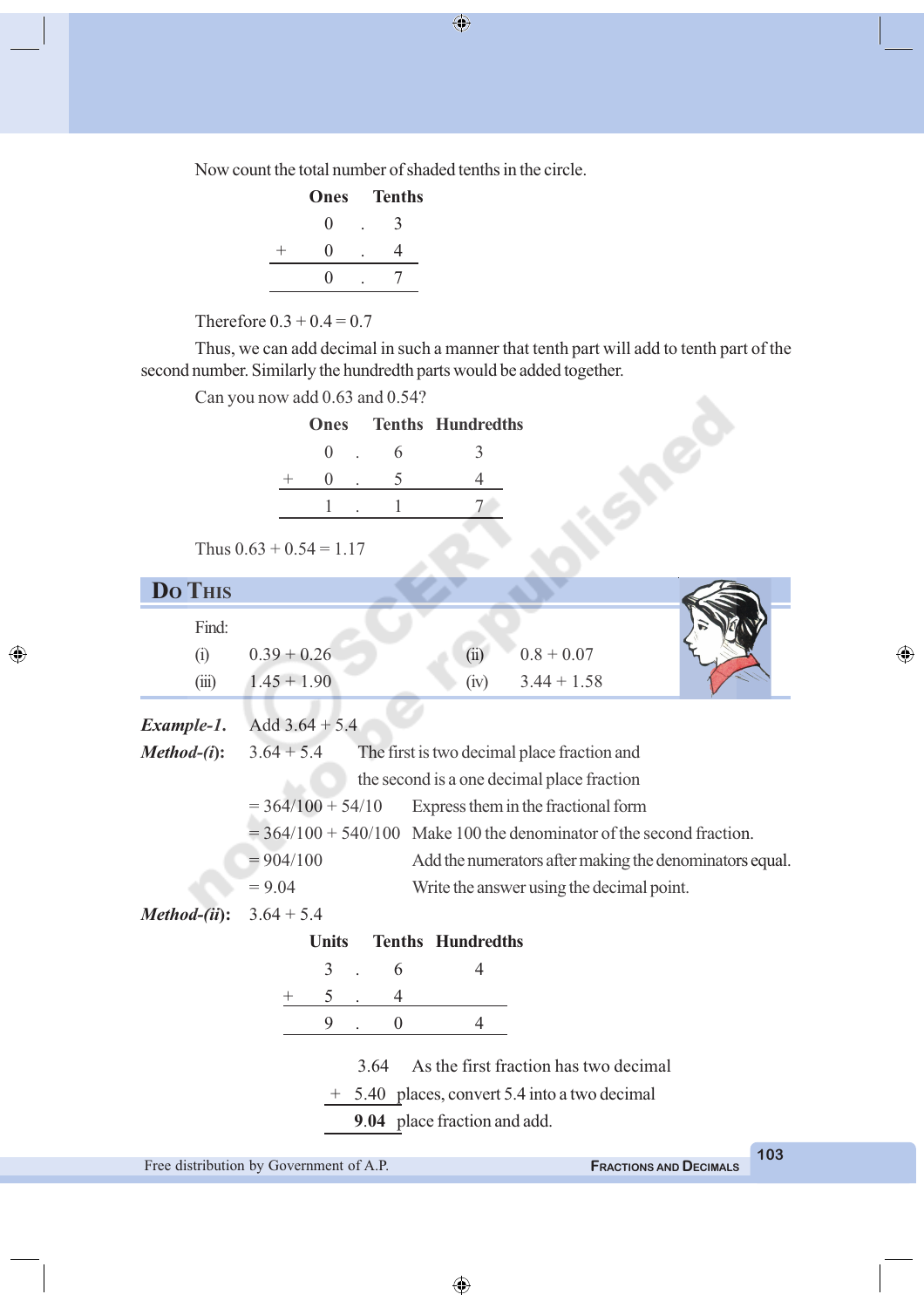Now count the total number of shaded tenths in the circle.

| Ones              | <b>Tenths</b> |
|-------------------|---------------|
| 0                 | 3             |
| $\mathbf{0}$      | 4             |
| $\mathbf{\Omega}$ |               |

Therefore  $0.3 + 0.4 = 0.7$ 

Thus, we can add decimal in such a manner that tenth part will add to tenth part of the

| second number. Similarly the hundredth parts would be added together. |             |   |                          |  |
|-----------------------------------------------------------------------|-------------|---|--------------------------|--|
| Can you now add 0.63 and 0.54?                                        |             |   |                          |  |
|                                                                       | <b>Ones</b> |   | <b>Tenths Hundredths</b> |  |
|                                                                       | $\theta$    | 6 |                          |  |
|                                                                       | $\sim 0$    |   |                          |  |
|                                                                       |             |   |                          |  |
| Thus $0.63 + 0.54 = 1.17$                                             |             |   |                          |  |

◈

| <b>Do THIS</b>                           |                                               |                  |                                                         |                                                                        |     |  |  |
|------------------------------------------|-----------------------------------------------|------------------|---------------------------------------------------------|------------------------------------------------------------------------|-----|--|--|
| Find:                                    |                                               |                  |                                                         |                                                                        |     |  |  |
| (i)                                      | $0.39 + 0.26$                                 |                  | (ii)                                                    | $0.8 + 0.07$                                                           |     |  |  |
| (iii)                                    | $1.45 + 1.90$                                 |                  | (iv)                                                    | $3.44 + 1.58$                                                          |     |  |  |
| Example-1.                               | Add $3.64 + 5.4$                              |                  |                                                         |                                                                        |     |  |  |
| $Method-(i)$ :                           | $3.64 + 5.4$                                  |                  |                                                         | The first is two decimal place fraction and                            |     |  |  |
|                                          |                                               |                  |                                                         | the second is a one decimal place fraction                             |     |  |  |
|                                          | $= 364/100 + 54/10$                           |                  |                                                         | Express them in the fractional form                                    |     |  |  |
|                                          |                                               |                  |                                                         | $= 364/100 + 540/100$ Make 100 the denominator of the second fraction. |     |  |  |
|                                          | $= 904/100$                                   |                  | Add the numerators after making the denominators equal. |                                                                        |     |  |  |
|                                          | $= 9.04$                                      |                  |                                                         | Write the answer using the decimal point.                              |     |  |  |
| Method-(ii):                             | $3.64 + 5.4$                                  |                  |                                                         |                                                                        |     |  |  |
| <b>Tenths Hundredths</b><br><b>Units</b> |                                               |                  |                                                         |                                                                        |     |  |  |
|                                          | 3                                             | 6                | 4                                                       |                                                                        |     |  |  |
|                                          | 5<br>$^+$                                     | 4                |                                                         |                                                                        |     |  |  |
|                                          | 9                                             | $\boldsymbol{0}$ | 4                                                       |                                                                        |     |  |  |
|                                          |                                               |                  |                                                         |                                                                        |     |  |  |
|                                          |                                               | 3.64             |                                                         | As the first fraction has two decimal                                  |     |  |  |
|                                          | + 5.40 places, convert 5.4 into a two decimal |                  |                                                         |                                                                        |     |  |  |
|                                          |                                               |                  | 9.04 place fraction and add.                            |                                                                        |     |  |  |
|                                          |                                               |                  |                                                         |                                                                        | 103 |  |  |

Free distribution by Government of A.P. **FRACTIONS** AND **DECIMALS** 

 $\bigoplus$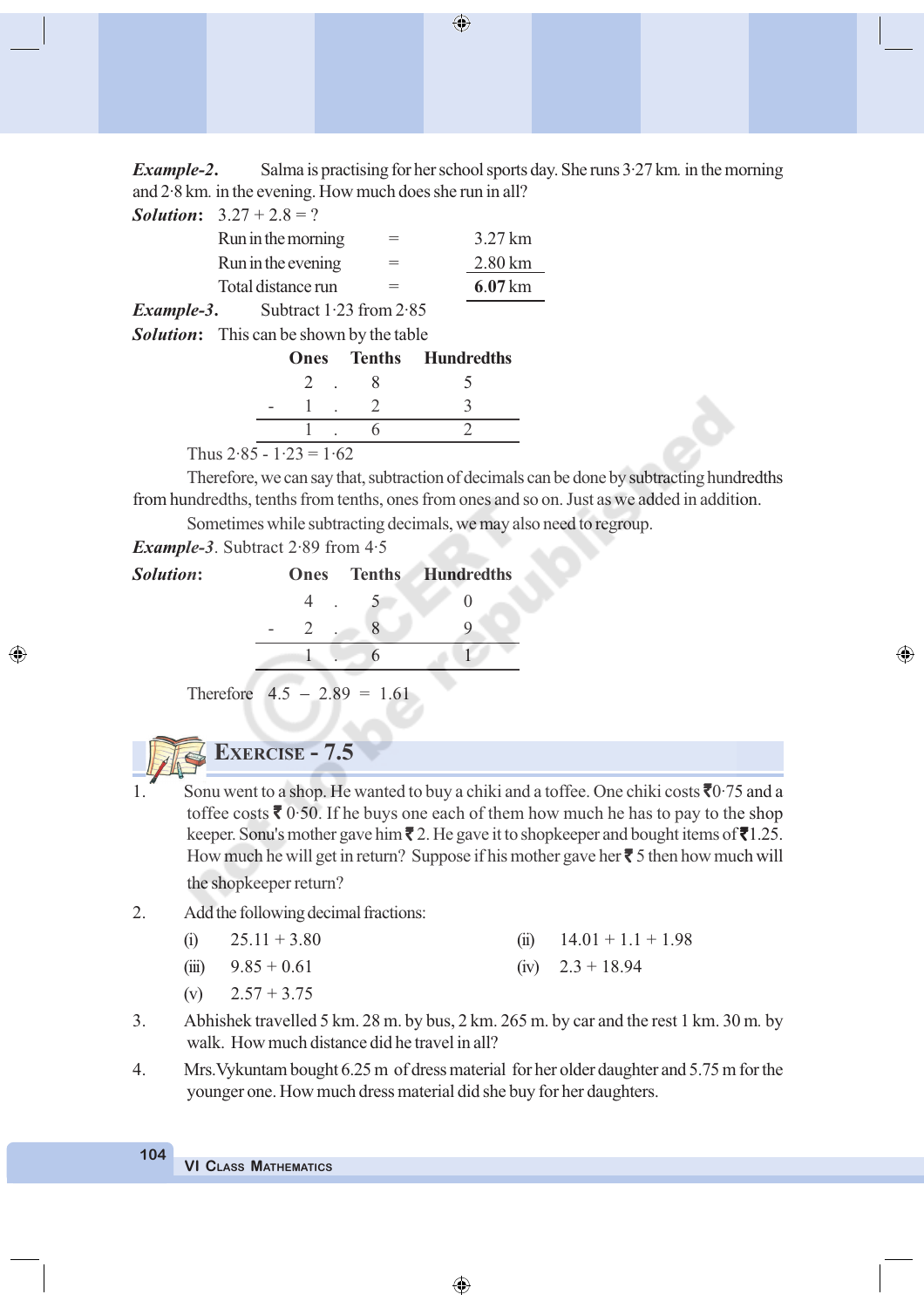*Example-2***.** Salma is practising for her school sports day. She runs 3·27 km*.* in the morning and 2·8 km*.* in the evening. How much does she run in all?

 $\bigoplus$ 

|            | <b>Solution:</b> $3.27 + 2.8 = ?$ |                    |
|------------|-----------------------------------|--------------------|
|            | Run in the morning                | 3.27 km            |
|            | Run in the evening                | $2.80 \mathrm{km}$ |
|            | Total distance run                | $6.07 \mathrm{km}$ |
| Example-3. | Subtract $1.23$ from $2.85$       |                    |

*Solution***:** This can be shown by the table

|                           |    |  | <b>Ones</b> Tenths Hundredths |
|---------------------------|----|--|-------------------------------|
|                           | 2. |  |                               |
|                           |    |  |                               |
|                           |    |  |                               |
| Thus $2.85 - 1.23 = 1.62$ |    |  |                               |

Therefore, we can say that, subtraction of decimals can be done by subtracting hundredths from hundredths, tenths from tenths, ones from ones and so on. Just as we added in addition.

⊕

Sometimes while subtracting decimals, we may also need to regroup.

*Example-3*. Subtract 2·89 from 4·5

◈

| Solution: |  | <b>Ones</b> Tenths Hundredths |
|-----------|--|-------------------------------|
|           |  |                               |
|           |  |                               |
|           |  |                               |

Therefore  $4.5 - 2.89 = 1.61$ 

# **EXERCISE - 7.5**

- Sonu went to a shop. He wanted to buy a chiki and a toffee. One chiki costs  $\overline{6}0.75$  and a toffee costs  $\bar{\mathbf{\mathsf{z}}}$  0.50. If he buys one each of them how much he has to pay to the shop keeper. Sonu's mother gave him  $\bar{\mathbf{z}}$  2. He gave it to shopkeeper and bought items of  $\bar{\mathbf{z}}$ 1.25. How much he will get in return? Suppose if his mother gave her  $\bar{\phantom{a}}$  5 then how much will the shopkeeper return?
- 2. Add the following decimal fractions:

| (i) | $25.11 + 3.80$ | (ii) $14.01 + 1.1 + 1.98$ |
|-----|----------------|---------------------------|
|     |                |                           |

- (iii)  $9.85 + 0.61$  (iv)  $2.3 + 18.94$
- (v)  $2.57 + 3.75$
- 3. Abhishek travelled 5 km. 28 m. by bus, 2 km. 265 m. by car and the rest 1 km. 30 m*.* by walk. How much distance did he travel in all?
- 4. Mrs.Vykuntam bought 6.25 m of dress material for her older daughter and 5.75 m for the younger one. How much dress material did she buy for her daughters.